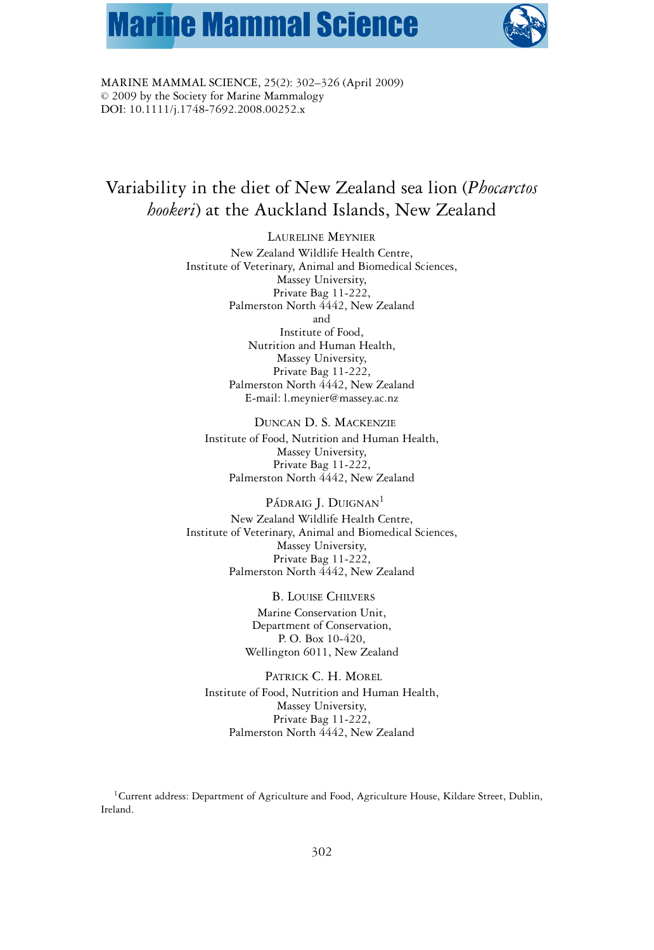# **Marine Mammal Science**



MARINE MAMMAL SCIENCE, 25(2): 302–326 (April 2009) -<sup>C</sup> 2009 by the Society for Marine Mammalogy DOI: 10.1111/j.1748-7692.2008.00252.x

# Variability in the diet of New Zealand sea lion (*Phocarctos hookeri*) at the Auckland Islands, New Zealand

LAURELINE MEYNIER New Zealand Wildlife Health Centre, Institute of Veterinary, Animal and Biomedical Sciences, Massey University, Private Bag 11-222, Palmerston North 4442, New Zealand and Institute of Food, Nutrition and Human Health, Massey University, Private Bag 11-222, Palmerston North 4442, New Zealand E-mail: l.meynier@massey.ac.nz

## DUNCAN D. S. MACKENZIE Institute of Food, Nutrition and Human Health, Massey University, Private Bag 11-222, Palmerston North 4442, New Zealand

PÁDRAIG J. DUIGNAN<sup>1</sup> New Zealand Wildlife Health Centre, Institute of Veterinary, Animal and Biomedical Sciences, Massey University, Private Bag 11-222, Palmerston North 4442, New Zealand

> B. LOUISE CHILVERS Marine Conservation Unit, Department of Conservation, P. O. Box 10-420, Wellington 6011, New Zealand

PATRICK C. H. MOREL Institute of Food, Nutrition and Human Health, Massey University, Private Bag 11-222, Palmerston North 4442, New Zealand

<sup>1</sup>Current address: Department of Agriculture and Food, Agriculture House, Kildare Street, Dublin, Ireland.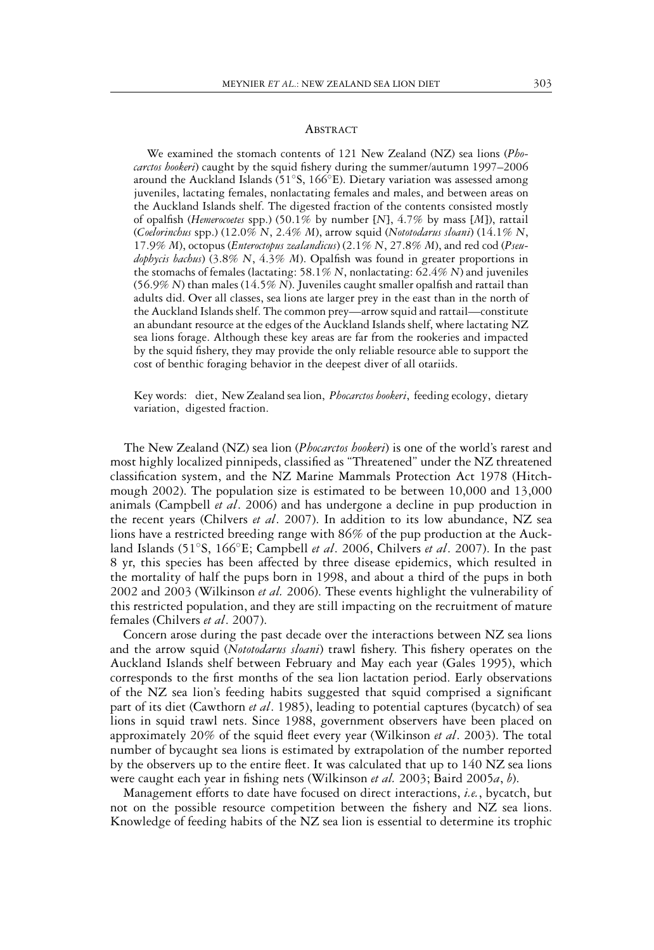#### ABSTRACT

We examined the stomach contents of 121 New Zealand (NZ) sea lions (*Phocarctos hookeri*) caught by the squid fishery during the summer/autumn 1997–2006 around the Auckland Islands (51◦S, 166◦E). Dietary variation was assessed among juveniles, lactating females, nonlactating females and males, and between areas on the Auckland Islands shelf. The digested fraction of the contents consisted mostly of opalfish (*Hemerocoetes* spp.) (50.1% by number [*N*], 4.7% by mass [*M*]), rattail (*Coelorinchus* spp.) (12.0% *N*, 2.4% *M*), arrow squid (*Nototodarus sloani*) (14.1% *N*, 17.9% *M*), octopus (*Enteroctopus zealandicus*) (2.1% *N*, 27.8% *M*), and red cod (*Pseudophycis bachus*) (3.8% *N*, 4.3% *M*). Opalfish was found in greater proportions in the stomachs of females (lactating: 58.1% *N*, nonlactating: 62.4% *N*) and juveniles (56.9% *N*) than males (14.5% *N*). Juveniles caught smaller opalfish and rattail than adults did. Over all classes, sea lions ate larger prey in the east than in the north of the Auckland Islands shelf. The common prey—arrow squid and rattail—constitute an abundant resource at the edges of the Auckland Islands shelf, where lactating NZ sea lions forage. Although these key areas are far from the rookeries and impacted by the squid fishery, they may provide the only reliable resource able to support the cost of benthic foraging behavior in the deepest diver of all otariids.

Key words: diet, New Zealand sea lion, *Phocarctos hookeri*, feeding ecology, dietary variation, digested fraction.

The New Zealand (NZ) sea lion (*Phocarctos hookeri*) is one of the world's rarest and most highly localized pinnipeds, classified as "Threatened" under the NZ threatened classification system, and the NZ Marine Mammals Protection Act 1978 (Hitchmough 2002). The population size is estimated to be between 10,000 and 13,000 animals (Campbell *et al*. 2006) and has undergone a decline in pup production in the recent years (Chilvers *et al*. 2007). In addition to its low abundance, NZ sea lions have a restricted breeding range with 86% of the pup production at the Auckland Islands (51◦S, 166◦E; Campbell *et al*. 2006, Chilvers *et al*. 2007). In the past 8 yr, this species has been affected by three disease epidemics, which resulted in the mortality of half the pups born in 1998, and about a third of the pups in both 2002 and 2003 (Wilkinson *et al.* 2006). These events highlight the vulnerability of this restricted population, and they are still impacting on the recruitment of mature females (Chilvers *et al*. 2007).

Concern arose during the past decade over the interactions between NZ sea lions and the arrow squid (*Nototodarus sloani*) trawl fishery. This fishery operates on the Auckland Islands shelf between February and May each year (Gales 1995), which corresponds to the first months of the sea lion lactation period. Early observations of the NZ sea lion's feeding habits suggested that squid comprised a significant part of its diet (Cawthorn *et al*. 1985), leading to potential captures (bycatch) of sea lions in squid trawl nets. Since 1988, government observers have been placed on approximately 20% of the squid fleet every year (Wilkinson *et al*. 2003). The total number of bycaught sea lions is estimated by extrapolation of the number reported by the observers up to the entire fleet. It was calculated that up to 140 NZ sea lions were caught each year in fishing nets (Wilkinson *et al.* 2003; Baird 2005*a*, *b*).

Management efforts to date have focused on direct interactions, *i.e.*, bycatch, but not on the possible resource competition between the fishery and NZ sea lions. Knowledge of feeding habits of the NZ sea lion is essential to determine its trophic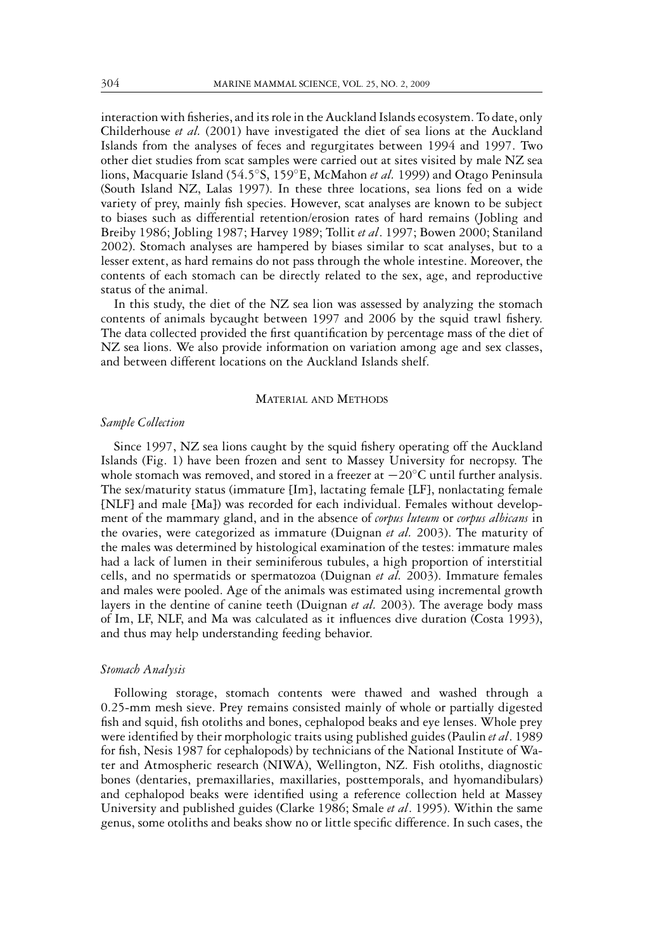interaction with fisheries, and its role in the Auckland Islands ecosystem. To date, only Childerhouse *et al.* (2001) have investigated the diet of sea lions at the Auckland Islands from the analyses of feces and regurgitates between 1994 and 1997. Two other diet studies from scat samples were carried out at sites visited by male NZ sea lions, Macquarie Island (54.5◦S, 159◦E, McMahon *et al.* 1999) and Otago Peninsula (South Island NZ, Lalas 1997). In these three locations, sea lions fed on a wide variety of prey, mainly fish species. However, scat analyses are known to be subject to biases such as differential retention/erosion rates of hard remains (Jobling and Breiby 1986; Jobling 1987; Harvey 1989; Tollit *et al*. 1997; Bowen 2000; Staniland 2002). Stomach analyses are hampered by biases similar to scat analyses, but to a lesser extent, as hard remains do not pass through the whole intestine. Moreover, the contents of each stomach can be directly related to the sex, age, and reproductive status of the animal.

In this study, the diet of the NZ sea lion was assessed by analyzing the stomach contents of animals bycaught between 1997 and 2006 by the squid trawl fishery. The data collected provided the first quantification by percentage mass of the diet of NZ sea lions. We also provide information on variation among age and sex classes, and between different locations on the Auckland Islands shelf.

#### MATERIAL AND METHODS

#### *Sample Collection*

Since 1997, NZ sea lions caught by the squid fishery operating off the Auckland Islands (Fig. 1) have been frozen and sent to Massey University for necropsy. The whole stomach was removed, and stored in a freezer at  $-20\degree$ C until further analysis. The sex/maturity status (immature [Im], lactating female [LF], nonlactating female [NLF] and male [Ma]) was recorded for each individual. Females without development of the mammary gland, and in the absence of *corpus luteum* or *corpus albicans* in the ovaries, were categorized as immature (Duignan *et al.* 2003). The maturity of the males was determined by histological examination of the testes: immature males had a lack of lumen in their seminiferous tubules, a high proportion of interstitial cells, and no spermatids or spermatozoa (Duignan *et al.* 2003). Immature females and males were pooled. Age of the animals was estimated using incremental growth layers in the dentine of canine teeth (Duignan *et al.* 2003). The average body mass of Im, LF, NLF, and Ma was calculated as it influences dive duration (Costa 1993), and thus may help understanding feeding behavior.

#### *Stomach Analysis*

Following storage, stomach contents were thawed and washed through a 0.25-mm mesh sieve. Prey remains consisted mainly of whole or partially digested fish and squid, fish otoliths and bones, cephalopod beaks and eye lenses. Whole prey were identified by their morphologic traits using published guides (Paulin *et al*. 1989 for fish, Nesis 1987 for cephalopods) by technicians of the National Institute of Water and Atmospheric research (NIWA), Wellington, NZ. Fish otoliths, diagnostic bones (dentaries, premaxillaries, maxillaries, posttemporals, and hyomandibulars) and cephalopod beaks were identified using a reference collection held at Massey University and published guides (Clarke 1986; Smale *et al*. 1995). Within the same genus, some otoliths and beaks show no or little specific difference. In such cases, the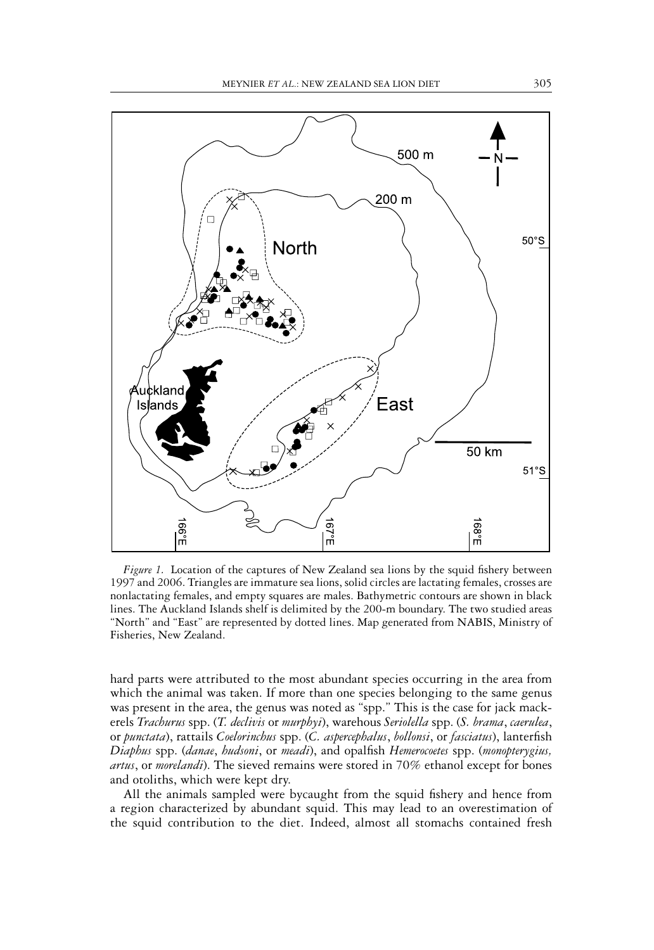

*Figure 1.* Location of the captures of New Zealand sea lions by the squid fishery between 1997 and 2006. Triangles are immature sea lions, solid circles are lactating females, crosses are nonlactating females, and empty squares are males. Bathymetric contours are shown in black lines. The Auckland Islands shelf is delimited by the 200-m boundary. The two studied areas "North" and "East" are represented by dotted lines. Map generated from NABIS, Ministry of Fisheries, New Zealand.

hard parts were attributed to the most abundant species occurring in the area from which the animal was taken. If more than one species belonging to the same genus was present in the area, the genus was noted as "spp." This is the case for jack mackerels *Trachurus* spp. (*T. declivis* or *murphyi*), warehous *Seriolella* spp. (*S. brama*, *caerulea*, or *punctata*), rattails *Coelorinchus* spp. (*C. aspercephalus*, *bollonsi*, or *fasciatus*), lanterfish *Diaphus* spp. (*danae*, *hudsoni*, or *meadi*), and opalfish *Hemerocoetes* spp. (*monopterygius, artus*, or *morelandi*). The sieved remains were stored in 70% ethanol except for bones and otoliths, which were kept dry.

All the animals sampled were bycaught from the squid fishery and hence from a region characterized by abundant squid. This may lead to an overestimation of the squid contribution to the diet. Indeed, almost all stomachs contained fresh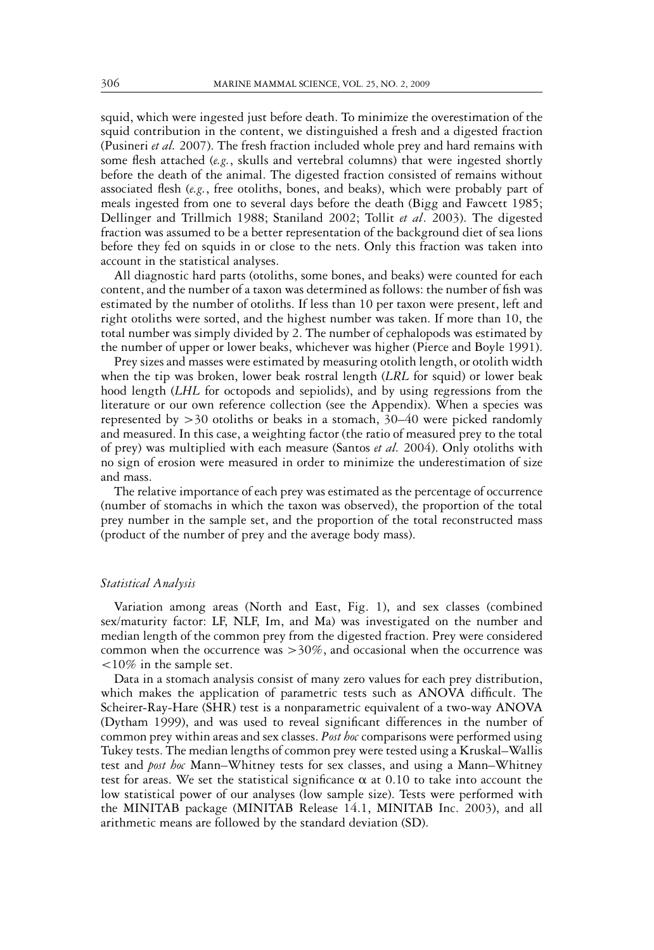squid, which were ingested just before death. To minimize the overestimation of the squid contribution in the content, we distinguished a fresh and a digested fraction (Pusineri *et al.* 2007). The fresh fraction included whole prey and hard remains with some flesh attached (*e.g.*, skulls and vertebral columns) that were ingested shortly before the death of the animal. The digested fraction consisted of remains without associated flesh (*e.g.*, free otoliths, bones, and beaks), which were probably part of meals ingested from one to several days before the death (Bigg and Fawcett 1985; Dellinger and Trillmich 1988; Staniland 2002; Tollit *et al*. 2003). The digested fraction was assumed to be a better representation of the background diet of sea lions before they fed on squids in or close to the nets. Only this fraction was taken into account in the statistical analyses.

All diagnostic hard parts (otoliths, some bones, and beaks) were counted for each content, and the number of a taxon was determined as follows: the number of fish was estimated by the number of otoliths. If less than 10 per taxon were present, left and right otoliths were sorted, and the highest number was taken. If more than 10, the total number was simply divided by 2. The number of cephalopods was estimated by the number of upper or lower beaks, whichever was higher (Pierce and Boyle 1991).

Prey sizes and masses were estimated by measuring otolith length, or otolith width when the tip was broken, lower beak rostral length (*LRL* for squid) or lower beak hood length (*LHL* for octopods and sepiolids), and by using regressions from the literature or our own reference collection (see the Appendix). When a species was represented by  $>$ 30 otoliths or beaks in a stomach, 30–40 were picked randomly and measured. In this case, a weighting factor (the ratio of measured prey to the total of prey) was multiplied with each measure (Santos *et al.* 2004). Only otoliths with no sign of erosion were measured in order to minimize the underestimation of size and mass.

The relative importance of each prey was estimated as the percentage of occurrence (number of stomachs in which the taxon was observed), the proportion of the total prey number in the sample set, and the proportion of the total reconstructed mass (product of the number of prey and the average body mass).

#### *Statistical Analysis*

Variation among areas (North and East, Fig. 1), and sex classes (combined sex/maturity factor: LF, NLF, Im, and Ma) was investigated on the number and median length of the common prey from the digested fraction. Prey were considered common when the occurrence was  $>30\%$ , and occasional when the occurrence was  $\langle 10\%$  in the sample set.

Data in a stomach analysis consist of many zero values for each prey distribution, which makes the application of parametric tests such as ANOVA difficult. The Scheirer-Ray-Hare (SHR) test is a nonparametric equivalent of a two-way ANOVA (Dytham 1999), and was used to reveal significant differences in the number of common prey within areas and sex classes. *Post hoc* comparisons were performed using Tukey tests. The median lengths of common prey were tested using a Kruskal–Wallis test and *post hoc* Mann–Whitney tests for sex classes, and using a Mann–Whitney test for areas. We set the statistical significance  $\alpha$  at 0.10 to take into account the low statistical power of our analyses (low sample size). Tests were performed with the MINITAB package (MINITAB Release 14.1, MINITAB Inc. 2003), and all arithmetic means are followed by the standard deviation (SD).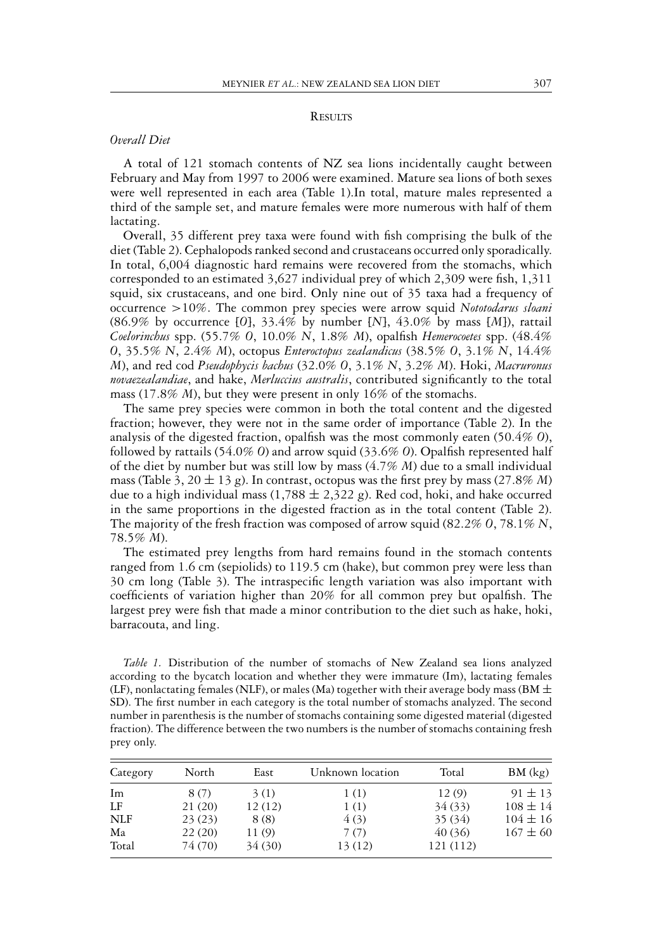#### **RESULTS**

## *Overall Diet*

A total of 121 stomach contents of NZ sea lions incidentally caught between February and May from 1997 to 2006 were examined. Mature sea lions of both sexes were well represented in each area (Table 1).In total, mature males represented a third of the sample set, and mature females were more numerous with half of them lactating.

Overall, 35 different prey taxa were found with fish comprising the bulk of the diet (Table 2). Cephalopods ranked second and crustaceans occurred only sporadically. In total, 6,004 diagnostic hard remains were recovered from the stomachs, which corresponded to an estimated 3,627 individual prey of which 2,309 were fish, 1,311 squid, six crustaceans, and one bird. Only nine out of 35 taxa had a frequency of occurrence >10%. The common prey species were arrow squid *Nototodarus sloani* (86.9% by occurrence [*O*], 33.4% by number [*N*], 43.0% by mass [*M*]), rattail *Coelorinchus* spp. (55.7% *O*, 10.0% *N*, 1.8% *M*), opalfish *Hemerocoetes* spp. (48.4% *O*, 35.5% *N*, 2.4% *M*), octopus *Enteroctopus zealandicus* (38.5% *O*, 3.1% *N*, 14.4% *M*), and red cod *Pseudophycis bachus* (32.0% *O*, 3.1% *N*, 3.2% *M*). Hoki, *Macruronus novaezealandiae*, and hake, *Merluccius australis*, contributed significantly to the total mass (17.8% *M*), but they were present in only 16% of the stomachs.

The same prey species were common in both the total content and the digested fraction; however, they were not in the same order of importance (Table 2). In the analysis of the digested fraction, opalfish was the most commonly eaten (50.4% *O*), followed by rattails (54.0% *O*) and arrow squid (33.6% *O*). Opalfish represented half of the diet by number but was still low by mass (4.7% *M*) due to a small individual mass (Table 3, 20  $\pm$  13 g). In contrast, octopus was the first prey by mass (27.8% *M*) due to a high individual mass  $(1,788 \pm 2,322 \text{ g})$ . Red cod, hoki, and hake occurred in the same proportions in the digested fraction as in the total content (Table 2). The majority of the fresh fraction was composed of arrow squid (82.2% *O*, 78.1% *N*, 78.5% *M*).

The estimated prey lengths from hard remains found in the stomach contents ranged from 1.6 cm (sepiolids) to 119.5 cm (hake), but common prey were less than 30 cm long (Table 3). The intraspecific length variation was also important with coefficients of variation higher than 20% for all common prey but opalfish. The largest prey were fish that made a minor contribution to the diet such as hake, hoki, barracouta, and ling.

*Table 1.* Distribution of the number of stomachs of New Zealand sea lions analyzed according to the bycatch location and whether they were immature (Im), lactating females (LF), nonlactating females (NLF), or males (Ma) together with their average body mass (BM  $\pm$ SD). The first number in each category is the total number of stomachs analyzed. The second number in parenthesis is the number of stomachs containing some digested material (digested fraction). The difference between the two numbers is the number of stomachs containing fresh prey only.

| Category   | North   | East    | Unknown location | Total     | BM (kg)      |
|------------|---------|---------|------------------|-----------|--------------|
| Im         | 8(7)    | 3(1)    | 1(1)             | 12(9)     | $91 \pm 13$  |
| LF         | 21 (20) | 12 (12) | 1(1)             | 34(33)    | $108 \pm 14$ |
| <b>NLF</b> | 23(23)  | 8(8)    | (3)              | 35 (34)   | $104 \pm 16$ |
| Ma         | 22(20)  | 11(9)   | 7(7)             | 40 (36)   | $167 \pm 60$ |
| Total      | 74 (70) | 34 (30) | 13(12)           | 121 (112) |              |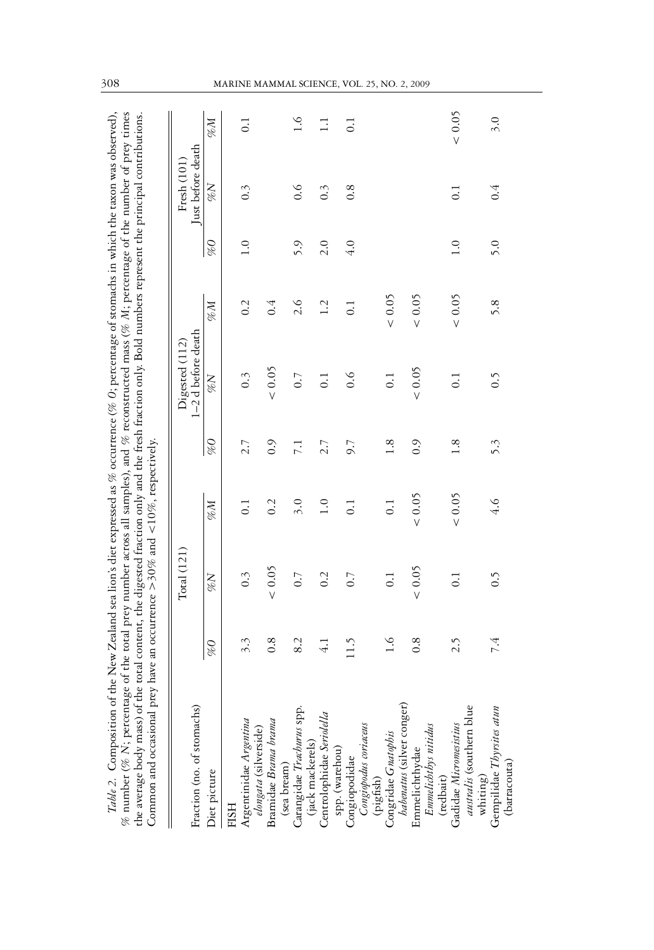| Fraction (no. of stomachs)                                                                                                                                                                                                         |           | Total $(121)$    |                  |                        | 1-2 d before death<br>Digested (112) |      |               | Just before death<br>Fresh (101) |       |
|------------------------------------------------------------------------------------------------------------------------------------------------------------------------------------------------------------------------------------|-----------|------------------|------------------|------------------------|--------------------------------------|------|---------------|----------------------------------|-------|
| Diet picture                                                                                                                                                                                                                       | <b>0%</b> | $N\%$            | W%               | $\partial \varnothing$ | N%                                   | W%   | <b>0%</b>     | $N\%$                            | $M\%$ |
| <b>FISH</b>                                                                                                                                                                                                                        |           |                  |                  |                        |                                      |      |               |                                  |       |
| Argentinidae Argentina<br>elongata (silverside)<br>Bramidae Brama brama                                                                                                                                                            | 3.3       | $0.\overline{3}$ | $\overline{0}$ . | 2.7                    | $0.\overline{3}$                     | 0.2  | $\frac{0}{1}$ | $0.\overline{3}$                 | 0.1   |
|                                                                                                                                                                                                                                    | 0.8       | 0.05             | 0.2              | 0.9                    | $< 0.05$                             | 0.4  |               |                                  |       |
| (sea bream)<br>Carangidae <i>Trachurus</i> spp.<br>(jack mackerels)                                                                                                                                                                | 8.2       | 0.7              | 3.0              | 7.1                    | 0.7                                  | 2.6  | 5.9           | $0.\overline{6}$                 | 1.6   |
|                                                                                                                                                                                                                                    | 4.1       | 0.2              | 1.0              | 2.7                    | 0.1                                  | 1.2  | 2.0           | $0.\overline{3}$                 | $\Xi$ |
| Centrolophidae Seriolella<br>spp. (warehou)<br>Congiopodidae<br><i>Congiopodias coriaceus</i><br>(pigfish)<br>Congridae <i>Gratophis</i><br><i>babenatus</i> (silver conger)<br><i>habenatus</i> (silver conger)<br>Emmelichthydae | 11.5      | 0.7              | 0.1              | 9.7                    | 0.6                                  | 0.1  | 4.0           | 0.8                              | 0.1   |
|                                                                                                                                                                                                                                    | 1.6       | $\overline{0}$ . | 0.1              | 1.8                    | 0.1                                  | 0.05 |               |                                  |       |
| Emmelichthys nitidus<br>(teclbait)<br>Gadidae Micromesistius                                                                                                                                                                       | 0.8       | 0.05             | 0.05             | 0.9                    | 0.05                                 | 0.05 |               |                                  |       |
| <i>australis</i> (southern blue<br>whiting)<br>Gempilidae <i>Thyrsites atun</i>                                                                                                                                                    | 2.5       | 0.1              | 0.05             | 1.8                    | 0.1                                  | 0.05 | $\frac{0}{1}$ | 0.1                              | 0.05  |
| (barracouta)                                                                                                                                                                                                                       | 7.4       | 0.5              | 4.6              | 5.3                    | 0.5                                  | 5.8  | 5.0           | 0.4                              | 3.0   |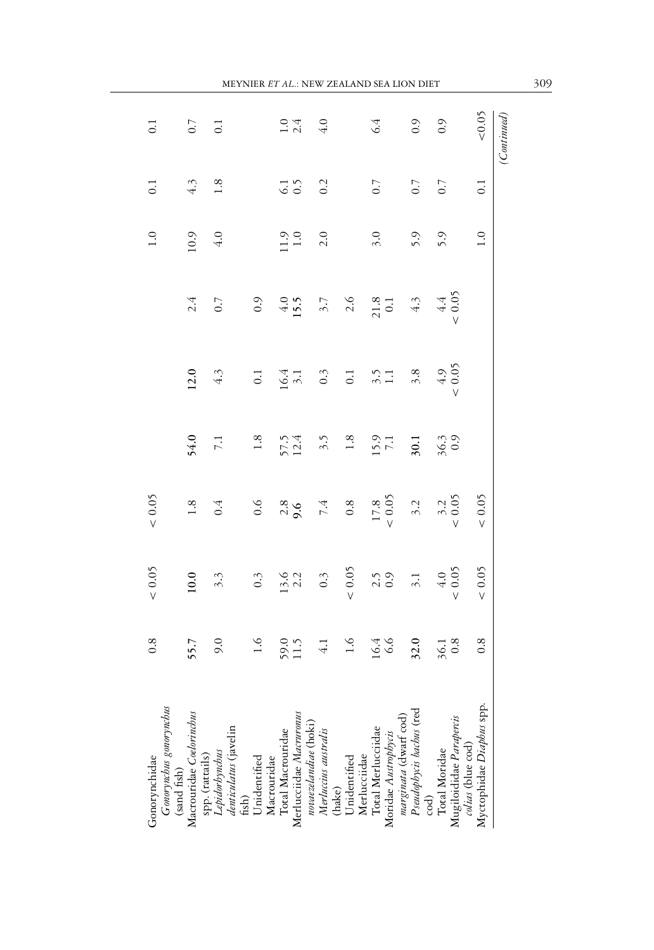| (Continued)    |                  |                   |                    |                              |                 |                    |                          |                                                              |                                                                                                                                                                     |
|----------------|------------------|-------------------|--------------------|------------------------------|-----------------|--------------------|--------------------------|--------------------------------------------------------------|---------------------------------------------------------------------------------------------------------------------------------------------------------------------|
| &0.05          | $\overline{0}$ . | 1.0               |                    |                              |                 | 0.05               | 0.05                     | 0.8                                                          |                                                                                                                                                                     |
|                |                  |                   |                    |                              |                 |                    |                          |                                                              | colias (blue cod)<br>Myctophidae Diaphus spp.                                                                                                                       |
| 0.9            | 0.7              | 5.9               | $4.4$<br>$> 0.05$  | $4.9$<br>0.05                | $^{36.3}_{0.9}$ | $\frac{3.2}{0.05}$ | $4.0$<br>0.05            | $^{36.1}_{\,0.8}$                                            | Total Metlucciidae<br>Moridae Austrophycis<br>marginata (dwarf.cod)<br>Pseudaphycis barbus (ted<br>cod)<br>Total Moridae<br>Total Moridae                           |
|                |                  |                   |                    |                              |                 |                    |                          |                                                              |                                                                                                                                                                     |
| 0.9            | 0.7              | 5.9               |                    |                              | 30.1            | 3.2                | 3.1                      |                                                              |                                                                                                                                                                     |
|                |                  |                   |                    |                              |                 |                    |                          |                                                              |                                                                                                                                                                     |
|                |                  |                   |                    |                              |                 | $17.8$<br>$< 0.05$ |                          |                                                              |                                                                                                                                                                     |
| 6.4            | $0.7\,$          | 3.0               | 2.6<br>21.8<br>4.3 | $0.1$ 3.5 $\frac{3}{11}$ 3.8 | 1.8<br>15.9     |                    | 2.5                      | 1.6<br>$59.0$<br>$4.1$<br>$1.6$<br>$16.4$<br>$6.6$<br>$32.0$ |                                                                                                                                                                     |
|                |                  |                   |                    |                              |                 | 0.8                | $< 0.05$                 |                                                              |                                                                                                                                                                     |
|                |                  |                   |                    |                              |                 |                    |                          |                                                              |                                                                                                                                                                     |
| 4.0            | 0.2              | 2.0               | 3.7                |                              | 3.5             | $\frac{2.8}{9.6}$  | 0.3                      |                                                              | mouezelandiae (hoki)<br>Merluccius australis<br>(hake)<br>Unidentified<br>Merlucciidae                                                                              |
|                |                  |                   |                    |                              |                 |                    |                          |                                                              |                                                                                                                                                                     |
| $1.0$<br>2.4   | $6.1$<br>0.5     | $\frac{1.9}{1.0}$ |                    |                              |                 |                    |                          |                                                              |                                                                                                                                                                     |
|                |                  |                   | 0.9<br>4.0<br>15.5 | $\frac{16.4}{3.1}$           | 57.5<br>12.4    |                    | $0.3$<br>$13.6$<br>$2.2$ |                                                              |                                                                                                                                                                     |
|                |                  |                   |                    |                              |                 |                    |                          |                                                              |                                                                                                                                                                     |
|                |                  |                   |                    | $\rm 0.1$                    | 1.8             | 0.6                |                          |                                                              |                                                                                                                                                                     |
|                |                  |                   |                    |                              |                 |                    |                          |                                                              | spp. (tattails)<br>Lepidorbynchus<br>denticulatus (javelin<br>fish)<br>fish (javelin<br>Unidentified<br>Macrouridae<br>Total Macrouridae<br>Metlucciidae Macruromus |
| $0.7$<br>$0.1$ | $1.8$            | 4.0               | $0.7\,$            | $4.3\,$                      | $7.1\,$         | 0.4                | 3.3                      | 9.0                                                          |                                                                                                                                                                     |
|                | 4.3              |                   |                    |                              |                 |                    |                          |                                                              |                                                                                                                                                                     |
|                |                  | 10.9              | 2.4                | 12.0                         | 54.0            | $1.8\,$            | $10.0$                   | 55.7                                                         | (sand fish)<br>Macrouridae <i>Coelorinchus</i>                                                                                                                      |
|                |                  |                   |                    |                              |                 |                    |                          |                                                              | Gonorynchidae<br>Gonorynchus gonorynchus                                                                                                                            |
| 0.1            | $\overline{0}$ . | $\frac{0}{1}$     |                    |                              |                 | 0.05               | 0.05                     | 0.8                                                          |                                                                                                                                                                     |
|                |                  |                   |                    |                              |                 |                    |                          |                                                              |                                                                                                                                                                     |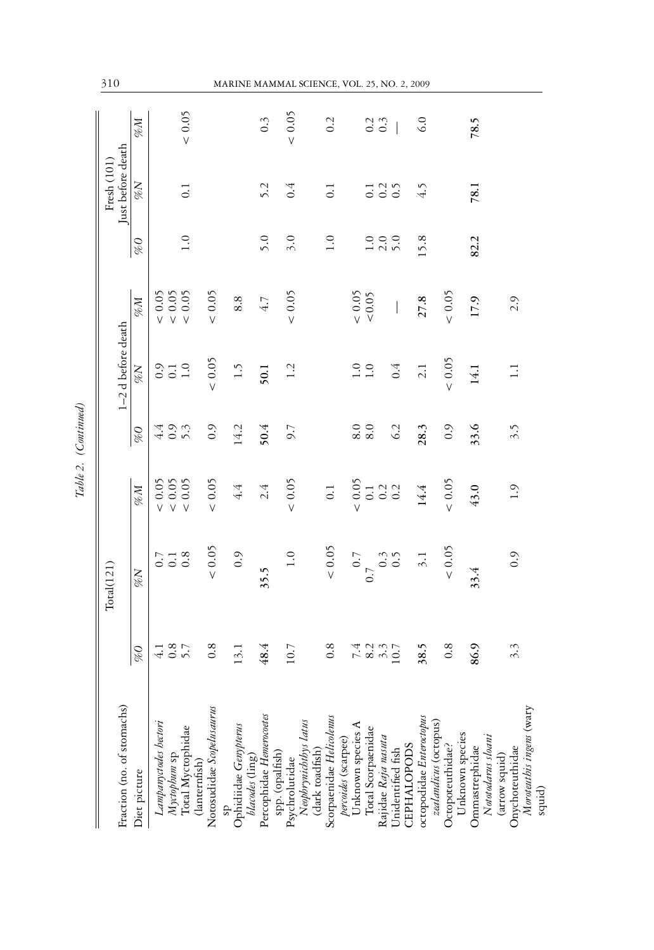| 310                              |                           |  |                                                            |                                                   |          |      | MARINE MAMMAL SCIENCE, VOL. 25, NO. 2, 2009                                             |                  |            |                                                                                                                                                                                           |                  |                                           |                                           |                                                                |                          |                       |                  |                                                                |  |        |                                                                        |
|----------------------------------|---------------------------|--|------------------------------------------------------------|---------------------------------------------------|----------|------|-----------------------------------------------------------------------------------------|------------------|------------|-------------------------------------------------------------------------------------------------------------------------------------------------------------------------------------------|------------------|-------------------------------------------|-------------------------------------------|----------------------------------------------------------------|--------------------------|-----------------------|------------------|----------------------------------------------------------------|--|--------|------------------------------------------------------------------------|
|                                  | $M\%$                     |  | $< 0.05$                                                   |                                                   |          |      |                                                                                         | $0.\overline{3}$ | ${}< 0.05$ |                                                                                                                                                                                           | 0.2              |                                           | $rac{3}{6}$ $\frac{3}{7}$                 |                                                                | 6.0                      |                       |                  | 78.5                                                           |  |        |                                                                        |
| Just before death<br>Fresh (101) | $N\%$                     |  | 0.1                                                        |                                                   |          |      |                                                                                         | 5.2              | 0.4        |                                                                                                                                                                                           | 0.1              |                                           | $\frac{1}{0}$ $\frac{3}{0}$ $\frac{5}{0}$ |                                                                | 4.5                      |                       |                  | 78.1                                                           |  |        |                                                                        |
|                                  | $\%$ O                    |  | $\ddot{0}$                                                 |                                                   |          |      |                                                                                         | 5.0              | 3.0        |                                                                                                                                                                                           | $\overline{1.0}$ |                                           | 0.000                                     |                                                                | 15.8                     |                       |                  | 82.2                                                           |  |        |                                                                        |
|                                  | $\mathbb{W}\mathscr{U}$   |  | $0.05$<br>$0.05$<br>$0.05$                                 |                                                   | $< 0.05$ | 8.8  |                                                                                         | $4.7$            | 0.05       |                                                                                                                                                                                           |                  |                                           | $\frac{0.05}{0.05}$                       | $\bigg $                                                       | 27.8                     |                       | < 0.05           | 17.9                                                           |  | 2.9    |                                                                        |
| 1-2 d before death               | $\% N$                    |  | $0.70$<br>$-1.0$                                           |                                                   | < 0.05   | 1.5  |                                                                                         | 50.1             | 1.2        |                                                                                                                                                                                           |                  | $\begin{array}{c} 0.0 \\ 1.0 \end{array}$ |                                           | 0.4                                                            | 2.1                      |                       | ${}< 0.05$       | 14.1                                                           |  | $\Box$ |                                                                        |
|                                  | $\mathcal{O} \varnothing$ |  | 0.3                                                        |                                                   | 0.9      | 14.2 |                                                                                         | 50.4             | 9.7        |                                                                                                                                                                                           |                  | $\begin{array}{c} 0.0 \\ 8.0 \end{array}$ |                                           | 6.2                                                            | 28.3                     |                       | 0.9              | 33.6                                                           |  | 3.5    |                                                                        |
|                                  | $N\%$                     |  | $0.05$<br>$0.05$<br>$0.05$                                 |                                                   | $< 0.05$ | 4.4  |                                                                                         | 2.4              | < 0.05     |                                                                                                                                                                                           | 0.1              |                                           | $0.05$<br>$0.1$<br>$0.2$<br>$0.2$         |                                                                | 14.4                     |                       | < 0.05           | 43.0                                                           |  | 1.9    |                                                                        |
| Total(121)                       | $N\%$                     |  | $\frac{5}{10}$ $\frac{1}{0}$ $\frac{8}{0}$                 |                                                   | $< 0.05$ | 0.9  |                                                                                         | 35.5             | 1.0        |                                                                                                                                                                                           | $< 0.05$         |                                           | $\begin{array}{c} 0.7 \\ 7.0 \end{array}$ | 0.3                                                            | 3.1                      |                       | $< 0.05$         | 33.4                                                           |  | 0.9    |                                                                        |
|                                  | $\%0$                     |  | $\frac{8}{5.7}$                                            |                                                   | 0.8      | 13.1 |                                                                                         | 48.4             | 10.7       |                                                                                                                                                                                           | 0.8              |                                           | 8357<br>8367                              |                                                                | 38.5                     |                       | $_{0.8}$         | 86.9                                                           |  | 3.3    |                                                                        |
| Fraction (no. of stomachs)       | Diet picture              |  | Lampanyctodes hectori<br>Myctophum sp<br>Total Myctophidae | (lanternfish)<br>Notosudidae <i>Scopelusaurus</i> |          |      | sp<br>Ophidiidae <i>Genypterus</i><br><i>blacodes</i> (ling)<br>Percophidae Hemerocetes |                  |            | spp. (opalfish)<br>Psychrolutidae<br><i>Neaphrynichthys lattus</i><br>(dark toadfish)<br>scorpaenidae <i>Helirolenus</i><br>perwides (scarpee)<br>perwides (scarpee)<br>Unknown species A |                  |                                           | Total Scorpaenidae                        | Rajidae <i>Raja nasuta</i><br>Unidentified fish<br>CEPHALOPODS | octopodidae Enteroctopus | zealandicus (octopus) | Octopoteuthidae? | Unknown species<br>Ommastrephidae<br><i>Nototodarus sloani</i> |  |        | (arrow squid)<br>Onychoteuthidae<br>Moroteuthis ingens (wary<br>squid) |

*Table 2. (Continued)*

Table 2. (Continued)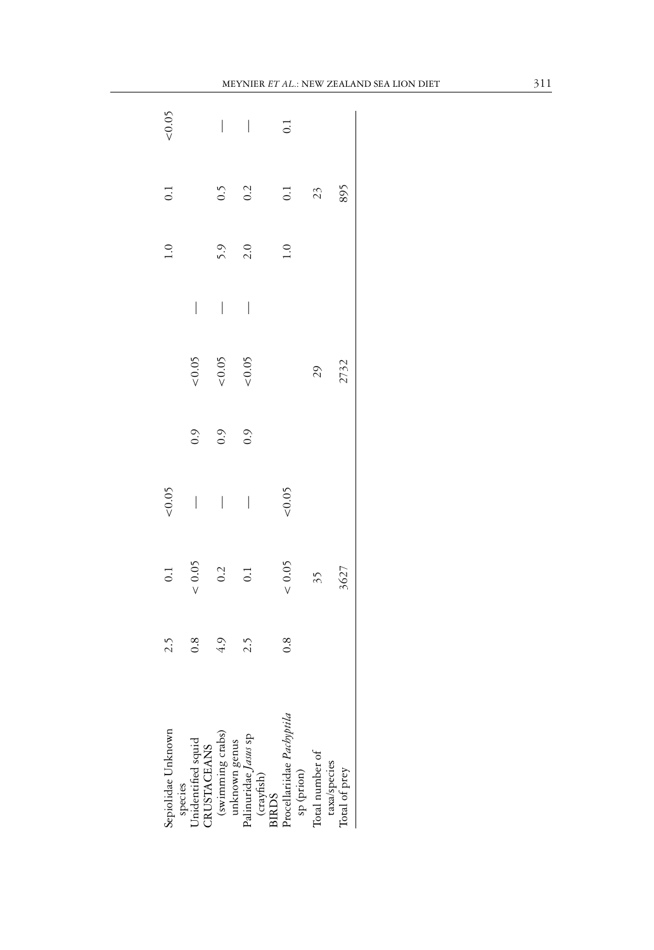| Sepiolidae Unknown                                                                                                                                                                                     | 2.5 |                                                          | &0.05           |     |                     |                                       | $\ddot{0}$ .     | $\overline{0}$ . | &0.05                    |
|--------------------------------------------------------------------------------------------------------------------------------------------------------------------------------------------------------|-----|----------------------------------------------------------|-----------------|-----|---------------------|---------------------------------------|------------------|------------------|--------------------------|
|                                                                                                                                                                                                        | 0.8 | $\begin{array}{c} 0.1 \\ 0.05 \\ 0.2 \\ 0.1 \end{array}$ | $\sim$ 1        | 0.9 |                     | $\Bigg $                              |                  |                  |                          |
|                                                                                                                                                                                                        | 4.9 |                                                          | $\pm$ 1 $\pm$ 1 | 0.9 | $\frac{0.05}{0.05}$ | $\begin{array}{c} \hline \end{array}$ | $5.0$<br>2.0     | $0.5$<br>$0.2$   | $\overline{\phantom{a}}$ |
|                                                                                                                                                                                                        | 2.5 |                                                          |                 | 0.9 |                     | $\overline{\phantom{a}}$              |                  |                  | $\bigg $                 |
| species<br>Unidentified squid<br>CRUSTACEANS<br>(swimming crabs)<br>unknown genus<br>Palinuridae <i>Jaus</i> sp<br>(crayfish)<br>BIRDS<br>Procellatiidae <i>Pachyptila</i><br>sp (prion)<br>sp (prion) | 0.8 | $< 0.05$                                                 | 0.05            |     |                     |                                       | $\overline{1.0}$ | $\overline{0.1}$ | 0.1                      |
|                                                                                                                                                                                                        |     | $\tilde{\mathcal{E}}$                                    |                 |     |                     |                                       |                  | 23               |                          |
| taxa/species<br>Iotal of prey                                                                                                                                                                          |     | 3627                                                     |                 |     | 29<br>2732          |                                       |                  | 895              |                          |
|                                                                                                                                                                                                        |     |                                                          |                 |     |                     |                                       |                  |                  |                          |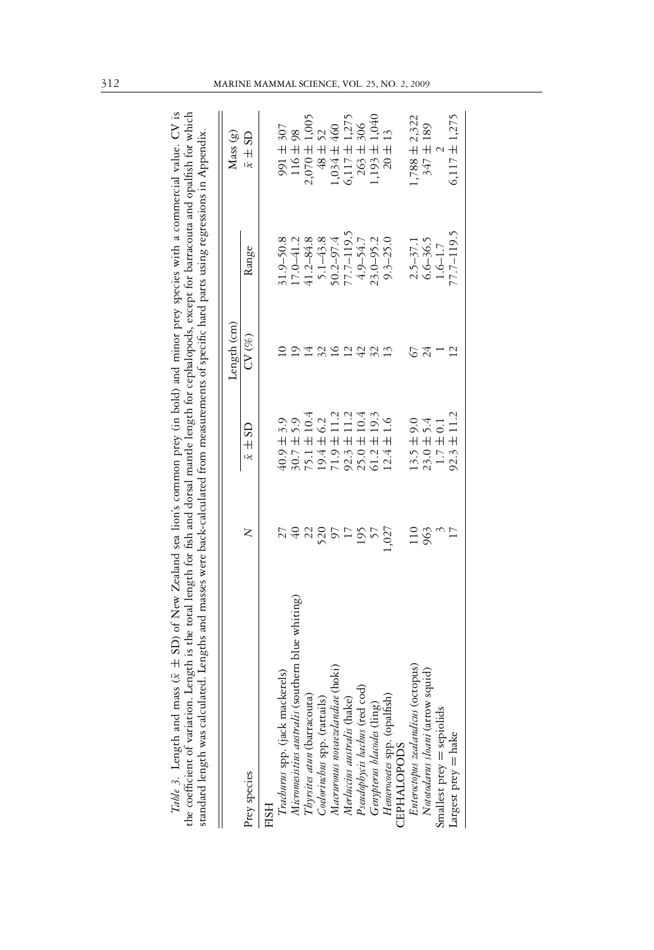| Table 3. Length and mass ( $\bar{x}$ ± SD) of New Zealand sea lion's common prey (in bold) and minor prey species with a commercial value. CV is<br>the coefficient of variation. Length is the total length for fish and dorsal mantle length for cephalopods, except for barracouta and opalfish for which<br>tandard length was calculated. Lengths and masses were back-calculated from measurements of specific hard parts using regressions in Appendix. |                 |                    |             |               |                   |
|----------------------------------------------------------------------------------------------------------------------------------------------------------------------------------------------------------------------------------------------------------------------------------------------------------------------------------------------------------------------------------------------------------------------------------------------------------------|-----------------|--------------------|-------------|---------------|-------------------|
|                                                                                                                                                                                                                                                                                                                                                                                                                                                                |                 |                    | Length (cm) |               | Mass(g)           |
| Prey species                                                                                                                                                                                                                                                                                                                                                                                                                                                   |                 | $\bar{x}$ $\pm$ 5D | CV(%)       | Range         | $\bar{x} \pm SD$  |
| FISH                                                                                                                                                                                                                                                                                                                                                                                                                                                           |                 |                    |             |               |                   |
| Trachurus spp. (jack mackerels)                                                                                                                                                                                                                                                                                                                                                                                                                                |                 | $40.9 \pm 3.9$     |             | $31.9 - 50.8$ | $991 \pm 307$     |
| Micromesistius australis (southern blue whiting)                                                                                                                                                                                                                                                                                                                                                                                                               | $\overline{40}$ | $30.7 \pm 5.9$     |             | $7.0 - 41.2$  | $116 \pm 98$      |
| Thyrsites atun (barracouta)                                                                                                                                                                                                                                                                                                                                                                                                                                    |                 | $75.1 \pm 10.4$    |             | $41.2 - 84.8$ | $2.070 \pm 1.005$ |

|                                                  |                                |                                                             | Length (cm)              |                                                                                                     | Mass $(g)$                                                                                                                                               |
|--------------------------------------------------|--------------------------------|-------------------------------------------------------------|--------------------------|-----------------------------------------------------------------------------------------------------|----------------------------------------------------------------------------------------------------------------------------------------------------------|
| Prey species                                     | $\mathsf{z}$                   | $\bar{x} \pm \overline{x}$                                  | $\mathrm{CV}\,(\%)$      | Range                                                                                               | $\bar{x} \pm$ SD                                                                                                                                         |
| <b>FISH</b>                                      |                                |                                                             |                          |                                                                                                     |                                                                                                                                                          |
| Trachurus spp. (jack mackerels)                  |                                |                                                             |                          |                                                                                                     |                                                                                                                                                          |
| Micromesistius australis (southern blue whiting) |                                |                                                             |                          |                                                                                                     |                                                                                                                                                          |
| Thyrsites atun (barracouta                       |                                |                                                             |                          |                                                                                                     | $2,070 \pm$                                                                                                                                              |
| Coelorinchus spp. (rattails)                     |                                |                                                             |                          |                                                                                                     |                                                                                                                                                          |
| (hoki)<br>Macruronus novaezelandiae              |                                |                                                             |                          |                                                                                                     |                                                                                                                                                          |
| Merluccius australis (hake)                      |                                |                                                             |                          |                                                                                                     | $1,034 \pm 4$<br>5,117 $\pm$ 1                                                                                                                           |
| Pseudophycis bachus (red cod)                    |                                |                                                             |                          | 31.9-50.8<br>17.0-41.2<br>17.0-41.3<br>4.1-43.8<br>5.0.2-97.4<br>5.4.9-54.7<br>4.9-54.7<br>4.9-55.2 | 991 $\pm$ 307<br>116 $\pm$ 98<br>116 $\pm$ 98<br>1070 $\pm$ 1,005<br>48 $\pm$ 52<br>480<br>480 $\pm$ 1,275<br>263 $\pm$ 13<br>26 $\pm$ 13<br>26 $\pm$ 13 |
| Genypterus blacodes (ling)                       |                                |                                                             |                          |                                                                                                     | $1,193 \pm 1$<br>$20$                                                                                                                                    |
| Hemerocoetes spp. (opalfish)<br>CEPHALOPODS      | 141827557027                   |                                                             |                          | $9.3 - 25.0$                                                                                        |                                                                                                                                                          |
| Enteroctopus zealandicus (octopus                |                                |                                                             |                          |                                                                                                     |                                                                                                                                                          |
| squid)<br>Nototodarus sloani (arrow              | $\frac{10}{36}$ $\frac{3}{17}$ | 0.41<br>0.40<br>$13.5 \pm 1$<br>$23.0 \pm 1$<br>$1.7 \pm 1$ | 24                       | $2.5-37.1$<br>6.6-36.5<br>1.6-1.7                                                                   | $1,788 \pm 2,322$<br>$347 \pm 189$                                                                                                                       |
| $Smallest prey = sepields$                       |                                |                                                             |                          |                                                                                                     |                                                                                                                                                          |
| Largest $prey = \text{hake}$                     |                                | $\frac{1}{2}$<br>$\overline{+}$<br>92.3                     | $\overline{\phantom{0}}$ | $7.7 - 119.5$                                                                                       | $6,117 \pm 1,275$                                                                                                                                        |
|                                                  |                                |                                                             |                          |                                                                                                     |                                                                                                                                                          |

## 312 MARINE MAMMAL SCIENCE, VOL. 25, NO. 2, 2009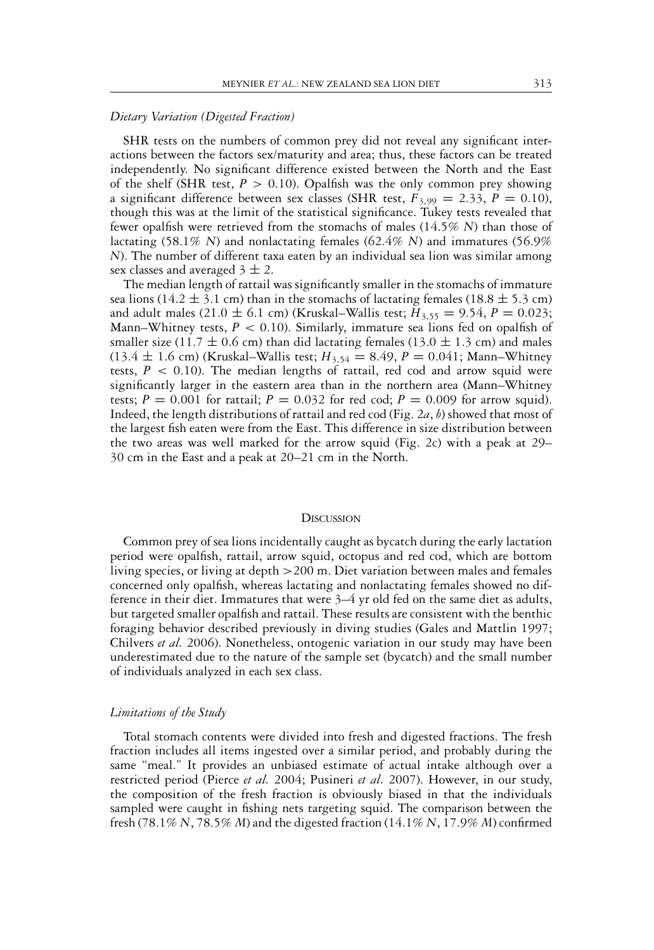#### *Dietary Variation (Digested Fraction)*

SHR tests on the numbers of common prey did not reveal any significant interactions between the factors sex/maturity and area; thus, these factors can be treated independently. No significant difference existed between the North and the East of the shelf (SHR test,  $P > 0.10$ ). Opalfish was the only common prey showing a significant difference between sex classes (SHR test,  $F_{3,99} = 2.33$ ,  $P = 0.10$ ), though this was at the limit of the statistical significance. Tukey tests revealed that fewer opalfish were retrieved from the stomachs of males (14.5% *N*) than those of lactating (58.1% *N*) and nonlactating females (62.4% *N*) and immatures (56.9% *N*). The number of different taxa eaten by an individual sea lion was similar among sex classes and averaged  $3 \pm 2$ .

The median length of rattail was significantly smaller in the stomachs of immature sea lions (14.2  $\pm$  3.1 cm) than in the stomachs of lactating females (18.8  $\pm$  5.3 cm) and adult males (21.0  $\pm$  6.1 cm) (Kruskal–Wallis test;  $H_{3,55} = 9.54$ ,  $P = 0.023$ ; Mann–Whitney tests,  $P < 0.10$ ). Similarly, immature sea lions fed on opalfish of smaller size (11.7  $\pm$  0.6 cm) than did lactating females (13.0  $\pm$  1.3 cm) and males  $(13.4 \pm 1.6 \text{ cm})$  (Kruskal–Wallis test;  $H_{3,54} = 8.49$ ,  $P = 0.041$ ; Mann–Whitney tests,  $P$  < 0.10). The median lengths of rattail, red cod and arrow squid were significantly larger in the eastern area than in the northern area (Mann–Whitney tests;  $P = 0.001$  for rattail;  $P = 0.032$  for red cod;  $P = 0.009$  for arrow squid). Indeed, the length distributions of rattail and red cod (Fig. 2*a*,*b*) showed that most of the largest fish eaten were from the East. This difference in size distribution between the two areas was well marked for the arrow squid (Fig. 2c) with a peak at 29– 30 cm in the East and a peak at 20–21 cm in the North.

#### **DISCUSSION**

Common prey of sea lions incidentally caught as bycatch during the early lactation period were opalfish, rattail, arrow squid, octopus and red cod, which are bottom living species, or living at depth >200 m. Diet variation between males and females concerned only opalfish, whereas lactating and nonlactating females showed no difference in their diet. Immatures that were 3–4 yr old fed on the same diet as adults, but targeted smaller opalfish and rattail. These results are consistent with the benthic foraging behavior described previously in diving studies (Gales and Mattlin 1997; Chilvers *et al.* 2006). Nonetheless, ontogenic variation in our study may have been underestimated due to the nature of the sample set (bycatch) and the small number of individuals analyzed in each sex class.

#### *Limitations of the Study*

Total stomach contents were divided into fresh and digested fractions. The fresh fraction includes all items ingested over a similar period, and probably during the same "meal." It provides an unbiased estimate of actual intake although over a restricted period (Pierce *et al.* 2004; Pusineri *et al.* 2007). However, in our study, the composition of the fresh fraction is obviously biased in that the individuals sampled were caught in fishing nets targeting squid. The comparison between the fresh (78.1% *N*, 78.5% *M*) and the digested fraction (14.1% *N*, 17.9% *M*) confirmed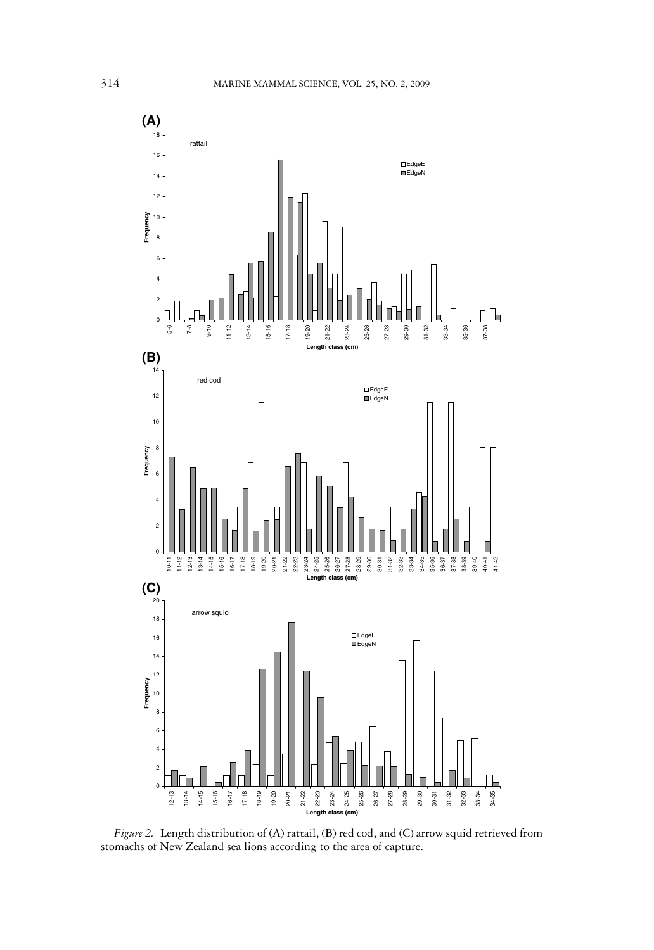

*Figure 2.* Length distribution of (A) rattail, (B) red cod, and (C) arrow squid retrieved from stomachs of New Zealand sea lions according to the area of capture.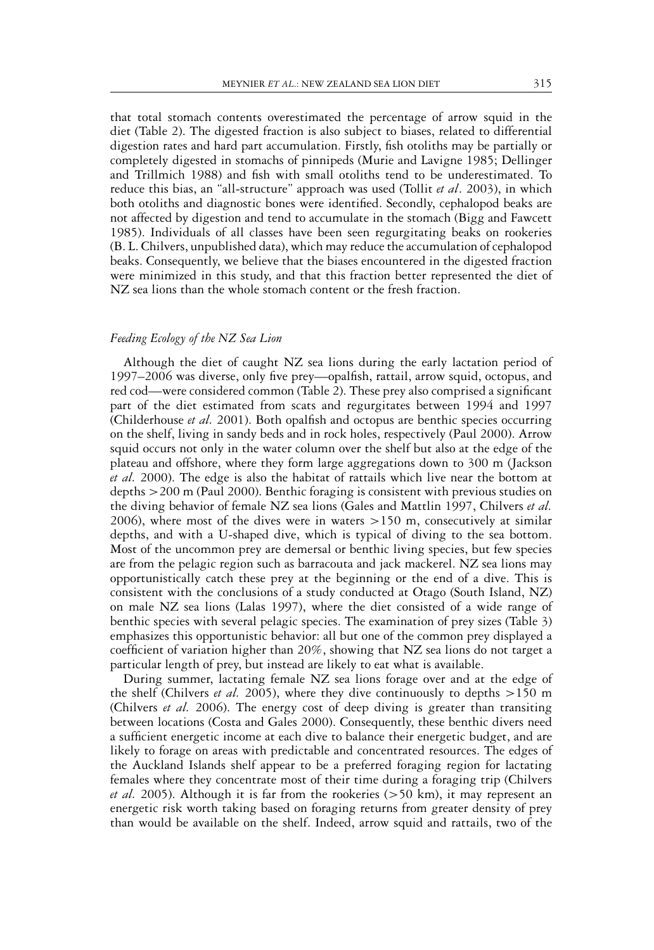that total stomach contents overestimated the percentage of arrow squid in the diet (Table 2). The digested fraction is also subject to biases, related to differential digestion rates and hard part accumulation. Firstly, fish otoliths may be partially or completely digested in stomachs of pinnipeds (Murie and Lavigne 1985; Dellinger and Trillmich 1988) and fish with small otoliths tend to be underestimated. To reduce this bias, an "all-structure" approach was used (Tollit *et al*. 2003), in which both otoliths and diagnostic bones were identified. Secondly, cephalopod beaks are not affected by digestion and tend to accumulate in the stomach (Bigg and Fawcett 1985). Individuals of all classes have been seen regurgitating beaks on rookeries (B. L. Chilvers, unpublished data), which may reduce the accumulation of cephalopod beaks. Consequently, we believe that the biases encountered in the digested fraction were minimized in this study, and that this fraction better represented the diet of NZ sea lions than the whole stomach content or the fresh fraction.

## *Feeding Ecology of the NZ Sea Lion*

Although the diet of caught NZ sea lions during the early lactation period of 1997–2006 was diverse, only five prey—opalfish, rattail, arrow squid, octopus, and red cod—were considered common (Table 2). These prey also comprised a significant part of the diet estimated from scats and regurgitates between 1994 and 1997 (Childerhouse *et al.* 2001). Both opalfish and octopus are benthic species occurring on the shelf, living in sandy beds and in rock holes, respectively (Paul 2000). Arrow squid occurs not only in the water column over the shelf but also at the edge of the plateau and offshore, where they form large aggregations down to 300 m (Jackson *et al.* 2000). The edge is also the habitat of rattails which live near the bottom at depths >200 m (Paul 2000). Benthic foraging is consistent with previous studies on the diving behavior of female NZ sea lions (Gales and Mattlin 1997, Chilvers *et al.* 2006), where most of the dives were in waters  $>150$  m, consecutively at similar depths, and with a U-shaped dive, which is typical of diving to the sea bottom. Most of the uncommon prey are demersal or benthic living species, but few species are from the pelagic region such as barracouta and jack mackerel. NZ sea lions may opportunistically catch these prey at the beginning or the end of a dive. This is consistent with the conclusions of a study conducted at Otago (South Island, NZ) on male NZ sea lions (Lalas 1997), where the diet consisted of a wide range of benthic species with several pelagic species. The examination of prey sizes (Table 3) emphasizes this opportunistic behavior: all but one of the common prey displayed a coefficient of variation higher than 20%, showing that NZ sea lions do not target a particular length of prey, but instead are likely to eat what is available.

During summer, lactating female NZ sea lions forage over and at the edge of the shelf (Chilvers *et al.* 2005), where they dive continuously to depths >150 m (Chilvers *et al.* 2006). The energy cost of deep diving is greater than transiting between locations (Costa and Gales 2000). Consequently, these benthic divers need a sufficient energetic income at each dive to balance their energetic budget, and are likely to forage on areas with predictable and concentrated resources. The edges of the Auckland Islands shelf appear to be a preferred foraging region for lactating females where they concentrate most of their time during a foraging trip (Chilvers *et al.* 2005). Although it is far from the rookeries (>50 km), it may represent an energetic risk worth taking based on foraging returns from greater density of prey than would be available on the shelf. Indeed, arrow squid and rattails, two of the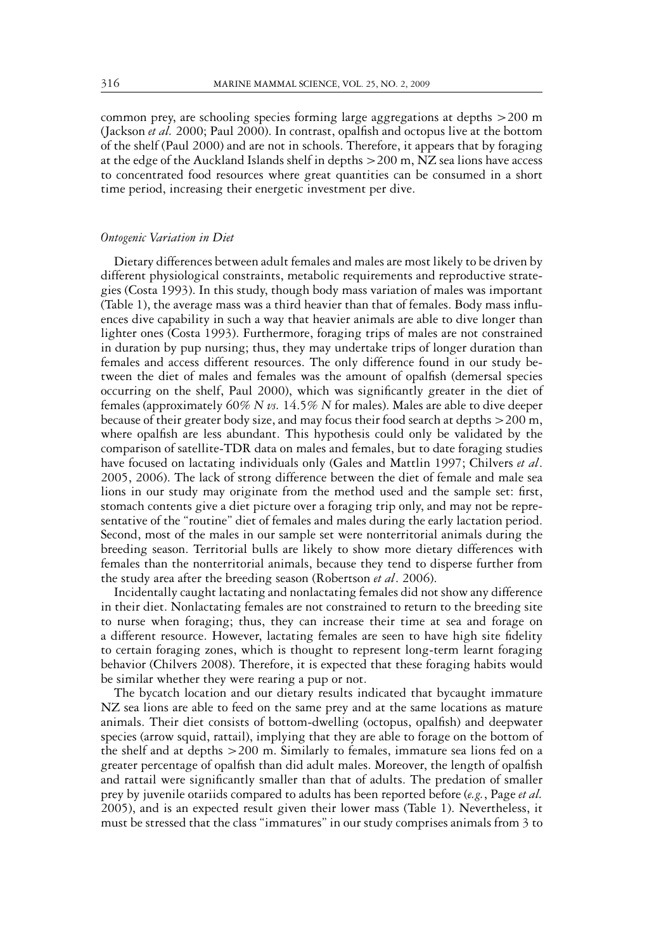common prey, are schooling species forming large aggregations at depths >200 m (Jackson *et al.* 2000; Paul 2000). In contrast, opalfish and octopus live at the bottom of the shelf (Paul 2000) and are not in schools. Therefore, it appears that by foraging at the edge of the Auckland Islands shelf in depths >200 m, NZ sea lions have access to concentrated food resources where great quantities can be consumed in a short time period, increasing their energetic investment per dive.

#### *Ontogenic Variation in Diet*

Dietary differences between adult females and males are most likely to be driven by different physiological constraints, metabolic requirements and reproductive strategies (Costa 1993). In this study, though body mass variation of males was important (Table 1), the average mass was a third heavier than that of females. Body mass influences dive capability in such a way that heavier animals are able to dive longer than lighter ones (Costa 1993). Furthermore, foraging trips of males are not constrained in duration by pup nursing; thus, they may undertake trips of longer duration than females and access different resources. The only difference found in our study between the diet of males and females was the amount of opalfish (demersal species occurring on the shelf, Paul 2000), which was significantly greater in the diet of females (approximately 60% *N vs.* 14.5% *N* for males). Males are able to dive deeper because of their greater body size, and may focus their food search at depths >200 m, where opalfish are less abundant. This hypothesis could only be validated by the comparison of satellite-TDR data on males and females, but to date foraging studies have focused on lactating individuals only (Gales and Mattlin 1997; Chilvers *et al*. 2005, 2006). The lack of strong difference between the diet of female and male sea lions in our study may originate from the method used and the sample set: first, stomach contents give a diet picture over a foraging trip only, and may not be representative of the "routine" diet of females and males during the early lactation period. Second, most of the males in our sample set were nonterritorial animals during the breeding season. Territorial bulls are likely to show more dietary differences with females than the nonterritorial animals, because they tend to disperse further from the study area after the breeding season (Robertson *et al*. 2006).

Incidentally caught lactating and nonlactating females did not show any difference in their diet. Nonlactating females are not constrained to return to the breeding site to nurse when foraging; thus, they can increase their time at sea and forage on a different resource. However, lactating females are seen to have high site fidelity to certain foraging zones, which is thought to represent long-term learnt foraging behavior (Chilvers 2008). Therefore, it is expected that these foraging habits would be similar whether they were rearing a pup or not.

The bycatch location and our dietary results indicated that bycaught immature NZ sea lions are able to feed on the same prey and at the same locations as mature animals. Their diet consists of bottom-dwelling (octopus, opalfish) and deepwater species (arrow squid, rattail), implying that they are able to forage on the bottom of the shelf and at depths >200 m. Similarly to females, immature sea lions fed on a greater percentage of opalfish than did adult males. Moreover, the length of opalfish and rattail were significantly smaller than that of adults. The predation of smaller prey by juvenile otariids compared to adults has been reported before (*e.g.*, Page *et al.* 2005), and is an expected result given their lower mass (Table 1). Nevertheless, it must be stressed that the class "immatures" in our study comprises animals from 3 to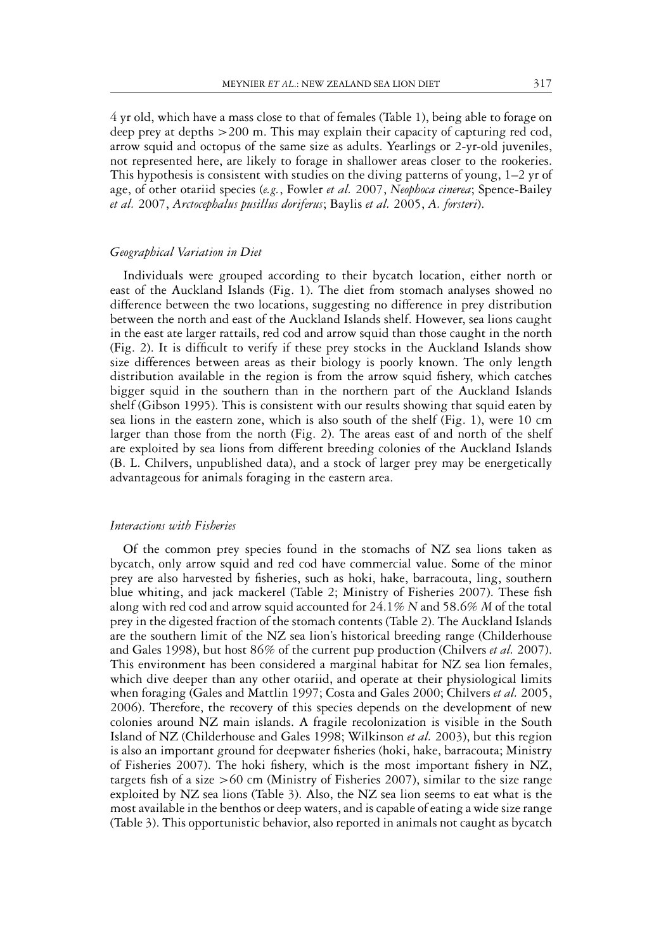4 yr old, which have a mass close to that of females (Table 1), being able to forage on deep prey at depths >200 m. This may explain their capacity of capturing red cod, arrow squid and octopus of the same size as adults. Yearlings or 2-yr-old juveniles, not represented here, are likely to forage in shallower areas closer to the rookeries. This hypothesis is consistent with studies on the diving patterns of young,  $1-2$  yr of age, of other otariid species (*e.g.*, Fowler *et al.* 2007, *Neophoca cinerea*; Spence-Bailey *et al.* 2007, *Arctocephalus pusillus doriferus*; Baylis *et al.* 2005, *A. forsteri*).

#### *Geographical Variation in Diet*

Individuals were grouped according to their bycatch location, either north or east of the Auckland Islands (Fig. 1). The diet from stomach analyses showed no difference between the two locations, suggesting no difference in prey distribution between the north and east of the Auckland Islands shelf. However, sea lions caught in the east ate larger rattails, red cod and arrow squid than those caught in the north (Fig. 2). It is difficult to verify if these prey stocks in the Auckland Islands show size differences between areas as their biology is poorly known. The only length distribution available in the region is from the arrow squid fishery, which catches bigger squid in the southern than in the northern part of the Auckland Islands shelf (Gibson 1995). This is consistent with our results showing that squid eaten by sea lions in the eastern zone, which is also south of the shelf (Fig. 1), were 10 cm larger than those from the north (Fig. 2). The areas east of and north of the shelf are exploited by sea lions from different breeding colonies of the Auckland Islands (B. L. Chilvers, unpublished data), and a stock of larger prey may be energetically advantageous for animals foraging in the eastern area.

## *Interactions with Fisheries*

Of the common prey species found in the stomachs of NZ sea lions taken as bycatch, only arrow squid and red cod have commercial value. Some of the minor prey are also harvested by fisheries, such as hoki, hake, barracouta, ling, southern blue whiting, and jack mackerel (Table 2; Ministry of Fisheries 2007). These fish along with red cod and arrow squid accounted for 24.1% *N* and 58.6% *M* of the total prey in the digested fraction of the stomach contents (Table 2). The Auckland Islands are the southern limit of the NZ sea lion's historical breeding range (Childerhouse and Gales 1998), but host 86% of the current pup production (Chilvers *et al.* 2007). This environment has been considered a marginal habitat for NZ sea lion females, which dive deeper than any other otariid, and operate at their physiological limits when foraging (Gales and Mattlin 1997; Costa and Gales 2000; Chilvers *et al.* 2005, 2006). Therefore, the recovery of this species depends on the development of new colonies around NZ main islands. A fragile recolonization is visible in the South Island of NZ (Childerhouse and Gales 1998; Wilkinson *et al.* 2003), but this region is also an important ground for deepwater fisheries (hoki, hake, barracouta; Ministry of Fisheries 2007). The hoki fishery, which is the most important fishery in NZ, targets fish of a size  $>60$  cm (Ministry of Fisheries 2007), similar to the size range exploited by NZ sea lions (Table 3). Also, the NZ sea lion seems to eat what is the most available in the benthos or deep waters, and is capable of eating a wide size range (Table 3). This opportunistic behavior, also reported in animals not caught as bycatch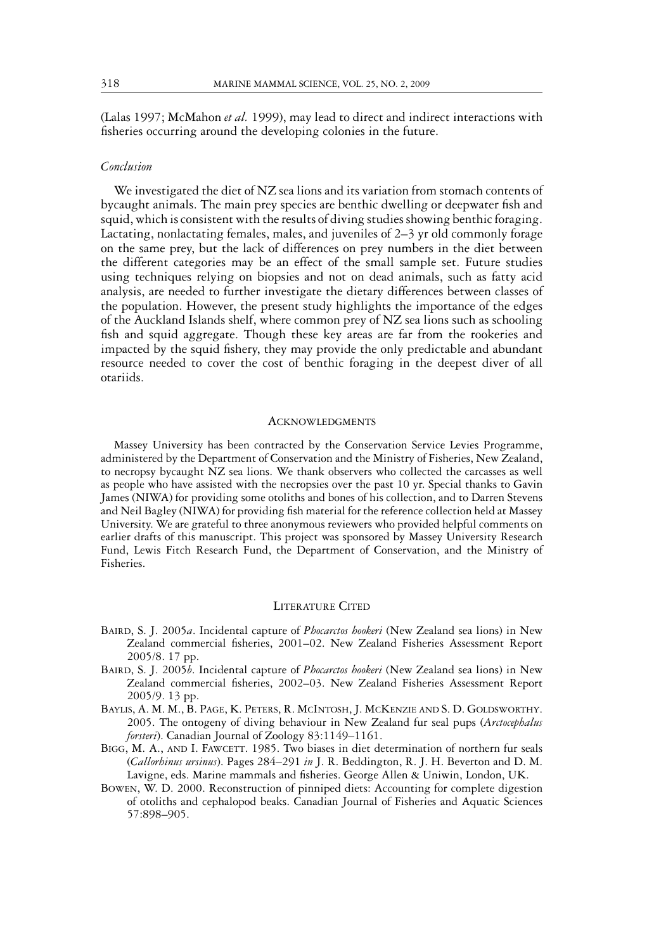(Lalas 1997; McMahon *et al.* 1999), may lead to direct and indirect interactions with fisheries occurring around the developing colonies in the future.

#### *Conclusion*

We investigated the diet of NZ sea lions and its variation from stomach contents of bycaught animals. The main prey species are benthic dwelling or deepwater fish and squid, which is consistent with the results of diving studies showing benthic foraging. Lactating, nonlactating females, males, and juveniles of 2–3 yr old commonly forage on the same prey, but the lack of differences on prey numbers in the diet between the different categories may be an effect of the small sample set. Future studies using techniques relying on biopsies and not on dead animals, such as fatty acid analysis, are needed to further investigate the dietary differences between classes of the population. However, the present study highlights the importance of the edges of the Auckland Islands shelf, where common prey of NZ sea lions such as schooling fish and squid aggregate. Though these key areas are far from the rookeries and impacted by the squid fishery, they may provide the only predictable and abundant resource needed to cover the cost of benthic foraging in the deepest diver of all otariids.

#### **ACKNOWLEDGMENTS**

Massey University has been contracted by the Conservation Service Levies Programme, administered by the Department of Conservation and the Ministry of Fisheries, New Zealand, to necropsy bycaught NZ sea lions. We thank observers who collected the carcasses as well as people who have assisted with the necropsies over the past 10 yr. Special thanks to Gavin James (NIWA) for providing some otoliths and bones of his collection, and to Darren Stevens and Neil Bagley (NIWA) for providing fish material for the reference collection held at Massey University. We are grateful to three anonymous reviewers who provided helpful comments on earlier drafts of this manuscript. This project was sponsored by Massey University Research Fund, Lewis Fitch Research Fund, the Department of Conservation, and the Ministry of Fisheries.

## LITERATURE CITED

- BAIRD, S. J. 2005*a*. Incidental capture of *Phocarctos hookeri* (New Zealand sea lions) in New Zealand commercial fisheries, 2001–02. New Zealand Fisheries Assessment Report 2005/8. 17 pp.
- BAIRD, S. J. 2005*b*. Incidental capture of *Phocarctos hookeri* (New Zealand sea lions) in New Zealand commercial fisheries, 2002–03. New Zealand Fisheries Assessment Report 2005/9. 13 pp.
- BAYLIS, A. M. M., B. PAGE, K. PETERS, R. MCINTOSH, J. MCKENZIE AND S. D. GOLDSWORTHY. 2005. The ontogeny of diving behaviour in New Zealand fur seal pups (*Arctocephalus forsteri*). Canadian Journal of Zoology 83:1149–1161.
- BIGG, M. A., AND I. FAWCETT. 1985. Two biases in diet determination of northern fur seals (*Callorhinus ursinus*). Pages 284–291 *in* J. R. Beddington, R. J. H. Beverton and D. M. Lavigne, eds. Marine mammals and fisheries. George Allen & Uniwin, London, UK.
- BOWEN, W. D. 2000. Reconstruction of pinniped diets: Accounting for complete digestion of otoliths and cephalopod beaks. Canadian Journal of Fisheries and Aquatic Sciences 57:898–905.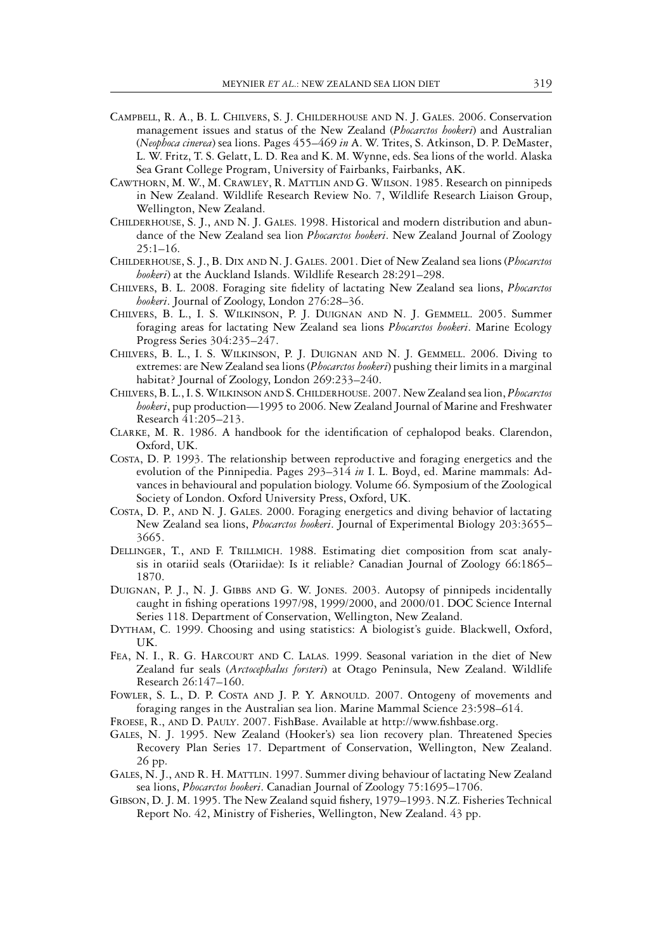- CAMPBELL, R. A., B. L. CHILVERS, S. J. CHILDERHOUSE AND N. J. GALES. 2006. Conservation management issues and status of the New Zealand (*Phocarctos hookeri*) and Australian (*Neophoca cinerea*) sea lions. Pages 455–469 *in* A. W. Trites, S. Atkinson, D. P. DeMaster, L. W. Fritz, T. S. Gelatt, L. D. Rea and K. M. Wynne, eds. Sea lions of the world. Alaska Sea Grant College Program, University of Fairbanks, Fairbanks, AK.
- CAWTHORN, M. W., M. CRAWLEY, R. MATTLIN AND G. WILSON. 1985. Research on pinnipeds in New Zealand. Wildlife Research Review No. 7, Wildlife Research Liaison Group, Wellington, New Zealand.
- CHILDERHOUSE, S. J., AND N. J. GALES. 1998. Historical and modern distribution and abundance of the New Zealand sea lion *Phocarctos hookeri*. New Zealand Journal of Zoology 25:1–16.
- CHILDERHOUSE, S. J., B. DIX AND N. J. GALES. 2001. Diet of New Zealand sea lions (*Phocarctos hookeri*) at the Auckland Islands. Wildlife Research 28:291–298.
- CHILVERS, B. L. 2008. Foraging site fidelity of lactating New Zealand sea lions, *Phocarctos hookeri*. Journal of Zoology, London 276:28–36.
- CHILVERS, B. L., I. S. WILKINSON, P. J. DUIGNAN AND N. J. GEMMELL. 2005. Summer foraging areas for lactating New Zealand sea lions *Phocarctos hookeri*. Marine Ecology Progress Series 304:235–247.
- CHILVERS, B. L., I. S. WILKINSON, P. J. DUIGNAN AND N. J. GEMMELL. 2006. Diving to extremes: are New Zealand sea lions (*Phocarctos hookeri*) pushing their limits in a marginal habitat? Journal of Zoology, London 269:233–240.
- CHILVERS, B. L., I. S. WILKINSON AND S. CHILDERHOUSE. 2007. New Zealand sea lion, *Phocarctos hookeri*, pup production—1995 to 2006. New Zealand Journal of Marine and Freshwater Research 41:205–213.
- CLARKE, M. R. 1986. A handbook for the identification of cephalopod beaks. Clarendon, Oxford, UK.
- COSTA, D. P. 1993. The relationship between reproductive and foraging energetics and the evolution of the Pinnipedia. Pages 293–314 *in* I. L. Boyd, ed. Marine mammals: Advances in behavioural and population biology. Volume 66. Symposium of the Zoological Society of London. Oxford University Press, Oxford, UK.
- COSTA, D. P., AND N. J. GALES. 2000. Foraging energetics and diving behavior of lactating New Zealand sea lions, *Phocarctos hookeri*. Journal of Experimental Biology 203:3655– 3665.
- DELLINGER, T., AND F. TRILLMICH. 1988. Estimating diet composition from scat analysis in otariid seals (Otariidae): Is it reliable? Canadian Journal of Zoology 66:1865– 1870.
- DUIGNAN, P. J., N. J. GIBBS AND G. W. JONES. 2003. Autopsy of pinnipeds incidentally caught in fishing operations 1997/98, 1999/2000, and 2000/01. DOC Science Internal Series 118. Department of Conservation, Wellington, New Zealand.
- DYTHAM, C. 1999. Choosing and using statistics: A biologist's guide. Blackwell, Oxford, UK.
- FEA, N. I., R. G. HARCOURT AND C. LALAS. 1999. Seasonal variation in the diet of New Zealand fur seals (*Arctocephalus forsteri*) at Otago Peninsula, New Zealand. Wildlife Research 26:147–160.
- FOWLER, S. L., D. P. COSTA AND J. P. Y. ARNOULD. 2007. Ontogeny of movements and foraging ranges in the Australian sea lion. Marine Mammal Science 23:598–614.
- FROESE, R., AND D. PAULY. 2007. FishBase. Available at http://www.fishbase.org.
- GALES, N. J. 1995. New Zealand (Hooker's) sea lion recovery plan. Threatened Species Recovery Plan Series 17. Department of Conservation, Wellington, New Zealand. 26 pp.
- GALES, N. J., AND R. H. MATTLIN. 1997. Summer diving behaviour of lactating New Zealand sea lions, *Phocarctos hookeri*. Canadian Journal of Zoology 75:1695–1706.
- GIBSON, D. J. M. 1995. The New Zealand squid fishery, 1979–1993. N.Z. Fisheries Technical Report No. 42, Ministry of Fisheries, Wellington, New Zealand. 43 pp.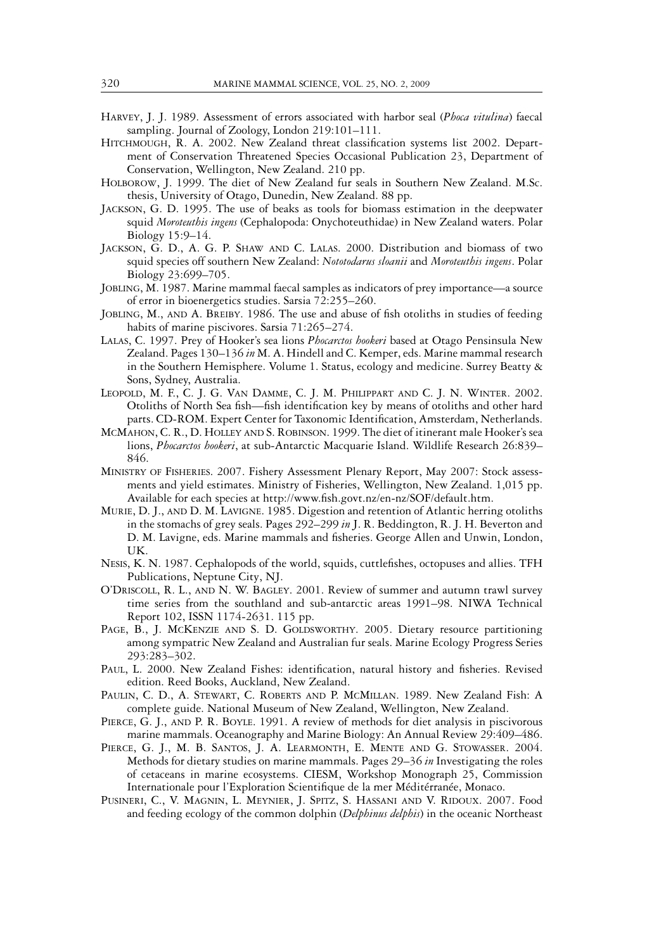- HARVEY, J. J. 1989. Assessment of errors associated with harbor seal (*Phoca vitulina*) faecal sampling. Journal of Zoology, London 219:101–111.
- HITCHMOUGH, R. A. 2002. New Zealand threat classification systems list 2002. Department of Conservation Threatened Species Occasional Publication 23, Department of Conservation, Wellington, New Zealand. 210 pp.
- HOLBOROW, J. 1999. The diet of New Zealand fur seals in Southern New Zealand. M.Sc. thesis, University of Otago, Dunedin, New Zealand. 88 pp.
- JACKSON, G. D. 1995. The use of beaks as tools for biomass estimation in the deepwater squid *Moroteuthis ingens* (Cephalopoda: Onychoteuthidae) in New Zealand waters. Polar Biology 15:9–14.
- JACKSON, G. D., A. G. P. SHAW AND C. LALAS. 2000. Distribution and biomass of two squid species off southern New Zealand: *Nototodarus sloanii* and *Moroteuthis ingens*. Polar Biology 23:699–705.
- JOBLING, M. 1987. Marine mammal faecal samples as indicators of prey importance—a source of error in bioenergetics studies. Sarsia 72:255–260.
- JOBLING, M., AND A. BREIBY. 1986. The use and abuse of fish otoliths in studies of feeding habits of marine piscivores. Sarsia 71:265–274.
- LALAS, C. 1997. Prey of Hooker's sea lions *Phocarctos hookeri* based at Otago Pensinsula New Zealand. Pages 130–136 *in* M. A. Hindell and C. Kemper, eds. Marine mammal research in the Southern Hemisphere. Volume 1. Status, ecology and medicine. Surrey Beatty & Sons, Sydney, Australia.
- LEOPOLD, M. F., C. J. G. VAN DAMME, C. J. M. PHILIPPART AND C. J. N. WINTER. 2002. Otoliths of North Sea fish—fish identification key by means of otoliths and other hard parts. CD-ROM. Expert Center for Taxonomic Identification, Amsterdam, Netherlands.
- MCMAHON, C. R., D. HOLLEY AND S. ROBINSON. 1999. The diet of itinerant male Hooker's sea lions, *Phocarctos hookeri*, at sub-Antarctic Macquarie Island. Wildlife Research 26:839– 846.
- MINISTRY OF FISHERIES. 2007. Fishery Assessment Plenary Report, May 2007: Stock assessments and yield estimates. Ministry of Fisheries, Wellington, New Zealand. 1,015 pp. Available for each species at http://www.fish.govt.nz/en-nz/SOF/default.htm.
- MURIE, D. J., AND D. M. LAVIGNE. 1985. Digestion and retention of Atlantic herring otoliths in the stomachs of grey seals. Pages 292–299 *in* J. R. Beddington, R. J. H. Beverton and D. M. Lavigne, eds. Marine mammals and fisheries. George Allen and Unwin, London, UK.
- NESIS, K. N. 1987. Cephalopods of the world, squids, cuttlefishes, octopuses and allies. TFH Publications, Neptune City, NJ.
- O'DRISCOLL, R. L., AND N. W. BAGLEY. 2001. Review of summer and autumn trawl survey time series from the southland and sub-antarctic areas 1991–98. NIWA Technical Report 102, ISSN 1174-2631. 115 pp.
- PAGE, B., J. MCKENZIE AND S. D. GOLDSWORTHY. 2005. Dietary resource partitioning among sympatric New Zealand and Australian fur seals. Marine Ecology Progress Series 293:283–302.
- PAUL, L. 2000. New Zealand Fishes: identification, natural history and fisheries. Revised edition. Reed Books, Auckland, New Zealand.
- PAULIN, C. D., A. STEWART, C. ROBERTS AND P. MCMILLAN. 1989. New Zealand Fish: A complete guide. National Museum of New Zealand, Wellington, New Zealand.
- PIERCE, G. J., AND P. R. BOYLE. 1991. A review of methods for diet analysis in piscivorous marine mammals. Oceanography and Marine Biology: An Annual Review 29:409–486.
- PIERCE, G. J., M. B. SANTOS, J. A. LEARMONTH, E. MENTE AND G. STOWASSER. 2004. Methods for dietary studies on marine mammals. Pages 29–36 *in* Investigating the roles of cetaceans in marine ecosystems. CIESM, Workshop Monograph 25, Commission Internationale pour l'Exploration Scientifique de la mer Méditérranée, Monaco.
- PUSINERI, C., V. MAGNIN, L. MEYNIER, J. SPITZ, S. HASSANI AND V. RIDOUX. 2007. Food and feeding ecology of the common dolphin (*Delphinus delphis*) in the oceanic Northeast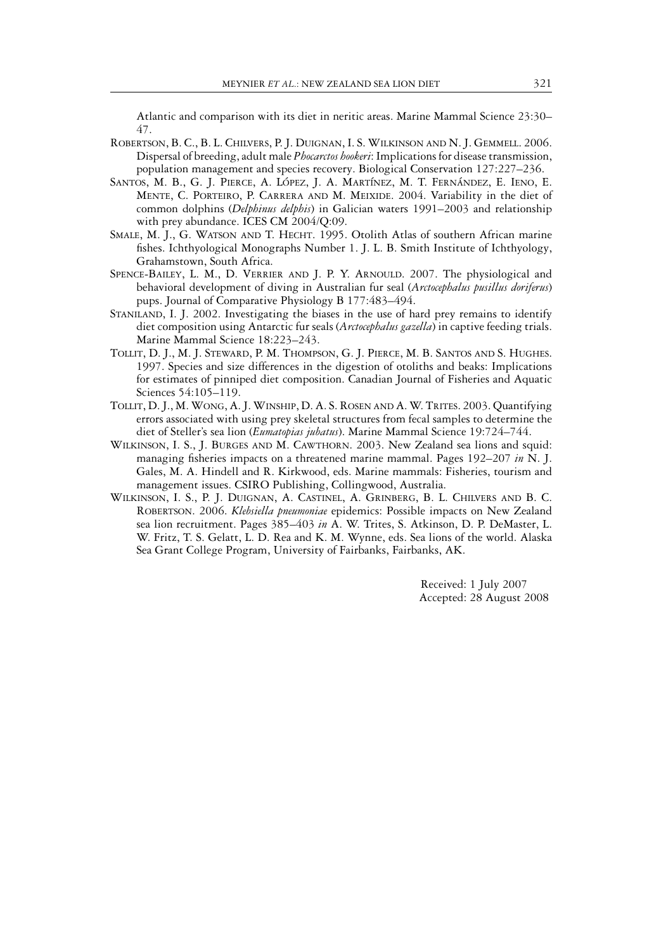Atlantic and comparison with its diet in neritic areas. Marine Mammal Science 23:30– 47.

- ROBERTSON, B. C., B. L. CHILVERS, P. J. DUIGNAN, I. S. WILKINSON AND N. J. GEMMELL. 2006. Dispersal of breeding, adult male *Phocarctos hookeri*: Implications for disease transmission, population management and species recovery. Biological Conservation 127:227–236.
- SANTOS, M. B., G. J. PIERCE, A. LÓPEZ, J. A. MARTÍNEZ, M. T. FERNÁNDEZ, E. IENO, E. MENTE, C. PORTEIRO, P. CARRERA AND M. MEIXIDE. 2004. Variability in the diet of common dolphins (*Delphinus delphis*) in Galician waters 1991–2003 and relationship with prey abundance. ICES CM 2004/Q:09.
- SMALE, M. J., G. WATSON AND T. HECHT. 1995. Otolith Atlas of southern African marine fishes. Ichthyological Monographs Number 1. J. L. B. Smith Institute of Ichthyology, Grahamstown, South Africa.
- SPENCE-BAILEY, L. M., D. VERRIER AND J. P. Y. ARNOULD. 2007. The physiological and behavioral development of diving in Australian fur seal (*Arctocephalus pusillus doriferus*) pups. Journal of Comparative Physiology B 177:483–494.
- STANILAND, I. J. 2002. Investigating the biases in the use of hard prey remains to identify diet composition using Antarctic fur seals (*Arctocephalus gazella*) in captive feeding trials. Marine Mammal Science 18:223–243.
- TOLLIT, D. J., M. J. STEWARD, P. M. THOMPSON, G. J. PIERCE, M. B. SANTOS AND S. HUGHES. 1997. Species and size differences in the digestion of otoliths and beaks: Implications for estimates of pinniped diet composition. Canadian Journal of Fisheries and Aquatic Sciences 54:105–119.
- TOLLIT, D. J., M. WONG, A. J. WINSHIP, D. A. S. ROSEN AND A. W. TRITES. 2003. Quantifying errors associated with using prey skeletal structures from fecal samples to determine the diet of Steller's sea lion (*Eumatopias jubatus*). Marine Mammal Science 19:724–744.
- WILKINSON, I. S., J. BURGES AND M. CAWTHORN. 2003. New Zealand sea lions and squid: managing fisheries impacts on a threatened marine mammal. Pages 192–207 *in* N. J. Gales, M. A. Hindell and R. Kirkwood, eds. Marine mammals: Fisheries, tourism and management issues. CSIRO Publishing, Collingwood, Australia.
- WILKINSON, I. S., P. J. DUIGNAN, A. CASTINEL, A. GRINBERG, B. L. CHILVERS AND B. C. ROBERTSON. 2006. *Klebsiella pneumoniae* epidemics: Possible impacts on New Zealand sea lion recruitment. Pages 385–403 *in* A. W. Trites, S. Atkinson, D. P. DeMaster, L. W. Fritz, T. S. Gelatt, L. D. Rea and K. M. Wynne, eds. Sea lions of the world. Alaska Sea Grant College Program, University of Fairbanks, Fairbanks, AK.

Received: 1 July 2007 Accepted: 28 August 2008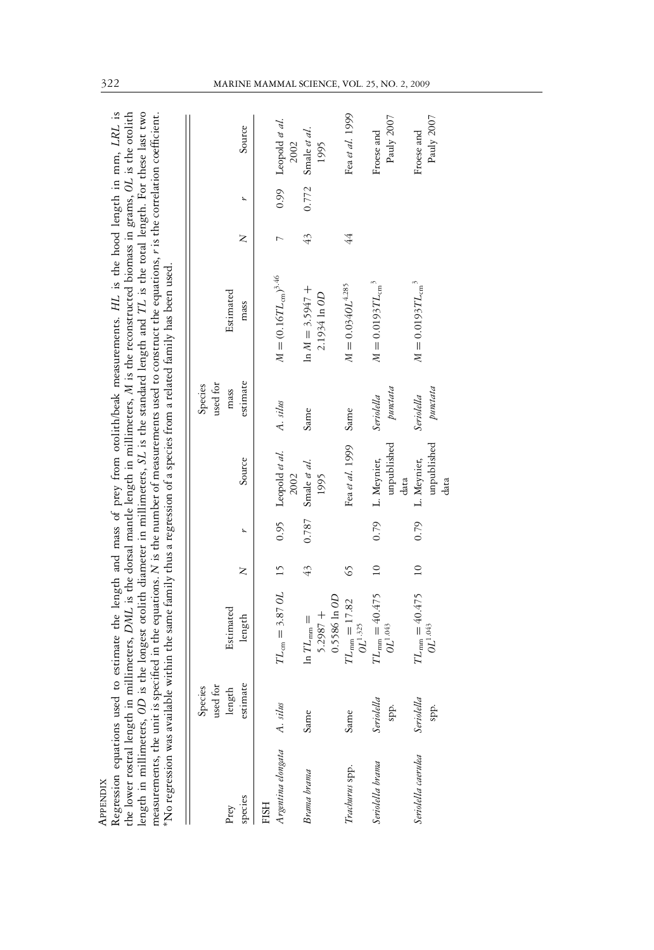Regression equations used to estimate the length and mass of prey from otolith/beak measurements. HL is the hood length in mm, LRL is the lower rostral length in millimeters, DML is the dorsal mantle length in millimeters, length in millimeters, OD is the longest otolith diameter in millimeters, SL is the standard length and TL is the total length. For these last two measurements, the unit is specified in the equations. N is the number of measurements used to construct the equations, r is the correlation coefficient. Regression equations used to estimate the length and mass of prey from otolith/beak measurements. *HL* is the hood length in mm, *LRL* is *M* is the reconstructed biomass in grams, *OL* is the otolith length in millimeters, *OD* is the longest otolith diameter in millimeters, *SL* is the standard length and *TL* is the total length. For these last two *N* is the number of measurements used to construct the equations, *r* is the correlation coefficient. No regression was available within the same family thus a regression of a species from a related family has been used ∗No regression was available within the same family thus a regression of a species from a related family has been used. the lower rostral length in millimeters, *DML* is the dorsal mantle length in millimeters, measurements, the unit is specified in the equations.

|                                            | Species                                 |                                                          |                |      |                                            | Species                      |                                    |    |       |                               |
|--------------------------------------------|-----------------------------------------|----------------------------------------------------------|----------------|------|--------------------------------------------|------------------------------|------------------------------------|----|-------|-------------------------------|
| species<br>Prey                            | estimate<br>used for<br>$_{\rm length}$ | Estimated<br>length                                      | Z              |      | Source                                     | estimate<br>used for<br>mass | <b>Estimated</b><br>mass           | Z  |       | Source                        |
| Argentina elongata A. silus<br><b>FISH</b> |                                         | $TL_{cm} = 3.87 \text{ } 0L \qquad 15$                   |                |      | $0.95$ Leopold et al.<br>2002              | A. silus                     | $M = (0.16TL_{cm})^{3.46}$         |    |       | $0.99$ Leopold et al.<br>2002 |
| Brama brama                                | Same                                    | $5.2987 +$<br>In $TL_{\rm mm} =$                         | 43             |      | $0.787$ Smale <i>et al.</i><br>1995        | Same                         | $\ln M = 3.5947 +$<br>2.1934 ln OD | 43 | 0.772 | Smale et al.<br>1995          |
| Trachurus spp.                             | Same                                    | 0.5586 ln OD<br>$TL_{\text{mm}} = 17.82$<br>$OL^{1.325}$ | S              |      | Fea et al. 1999                            | Same                         | $M = 0.0340L^{4.285}$              | 44 |       | Fea et al. 1999               |
| Seriolella brama                           | Seriolella<br>spp.                      | $TL_{\rm mm} = 40.475$<br>$0L^{1.043}$                   | $\approx$      | 0.79 | unpublished<br>L. Meynier,                 | punctata<br>Seriolella       | $M = 0.0193 T L_{cm}^{3}$          |    |       | Pauly 2007<br>Froese and      |
| Seriolella caerulea                        | Seriolella<br>spp.                      | $TL_{\rm mm} = 40.475$<br>$OL^{1.043}$                   | $\overline{a}$ | 0.79 | unpublished<br>L. Meynier,<br>data<br>data | punctata<br>Seriolella       | $M = 0.0193 T L_{cm}^{3}$          |    |       | Pauly 2007<br>Froese and      |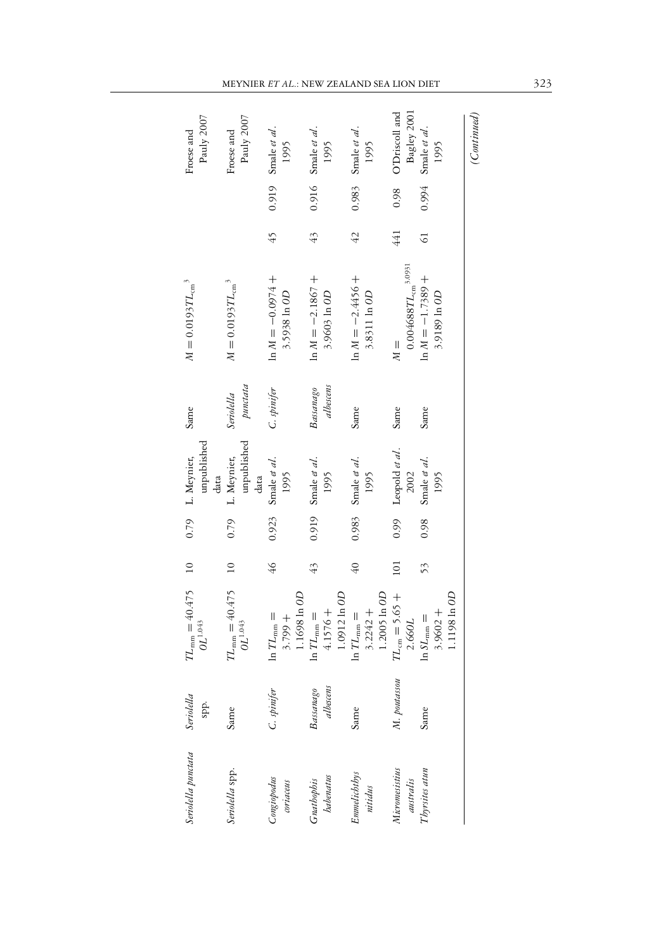| (Continued)<br>1995  |       |                 | 3.9189 In OD                     |             | 1995                 |       |                 | $1.1198 \ln 0D$<br>$3.9602 +$ |              |
|----------------------|-------|-----------------|----------------------------------|-------------|----------------------|-------|-----------------|-------------------------------|--------------|
| Smale et al.         | 0.994 | $\overline{61}$ | $\ln M = -1.7389 +$              | Same        | Smale et al.         | 0.98  | 53              | $\ln SL_{\rm mm} =$           | Same         |
| Bagley 2001          |       |                 | $0.004688T L_{\rm cm}^{-3.0931}$ |             | 2002                 |       |                 | 2.660L                        |              |
| O'Driscoll and       | 0.98  | 441             | $\overline{M} =$                 | Same        | Leopold et al.       | 0.99  | 101             | $TL_{cm} = 5.65 +$            | M. poutassou |
|                      |       |                 |                                  |             |                      |       |                 | $1.2005$ ln $OD$              |              |
| 1995                 |       |                 | 3.8311 In OD                     |             | 1995                 |       |                 | $3.2242 +$                    |              |
| Smale et al.         | 0.983 | 42              | $\ln M = -2.4456 +$              | Same        | Smale et al.         | 0.983 | $\overline{6}$  | $\ln TL_{\text{mm}} =$        | Same         |
|                      |       |                 |                                  |             |                      |       |                 | $1.0912\ln OD$                |              |
| 1995                 |       |                 | 3.9603 In OD                     | albescens   | 1995                 |       |                 | $4.1576 +$                    | albescens    |
| $0.916$ Smale et al. |       | 43              | $\ln M = -2.1867 +$              | Bassanago   | $0.919$ Smale et al. |       | 43              | $\ln TL_{\rm mm} =$           | Bassanago    |
|                      |       |                 |                                  |             |                      |       |                 | $1.1698 \ln OD$               |              |
| 1995                 |       |                 | 3.5938 In OD                     |             | 1995                 |       |                 | $3.799 +$                     |              |
| $0.919$ Smale et al. |       | 45              | $\ln M = -0.0974 +$              | C. spinifer | Smale et al.         | 0.923 | $\frac{46}{5}$  | $\ln T L_{\rm mm} =$          | C. spinifer  |
|                      |       |                 |                                  |             | data                 |       |                 |                               |              |
| Pauly 2007           |       |                 |                                  | punctata    | unpublished          |       |                 | $0L^{1.043}$                  |              |
| Froese and           |       |                 | $M=0.0193\, T L_{\rm cm}{}^3$    | Seriolella  | L. Meynier,          | 0.79  | $\overline{10}$ | $T L_{\rm mm} = 40.475$       | Same         |
|                      |       |                 |                                  |             | data                 |       |                 |                               |              |
| Pauly 2007           |       |                 |                                  |             | unpublished          |       |                 | $0L^{1.043}$                  | spp.         |
| Froese and           |       |                 | $M=0.0193\, T L_{\rm cm}{}^3$    | Same        | L. Meynier,          | 0.79  |                 | $TL_{\text{mm}} = 40.475$ 10  | Seriolella   |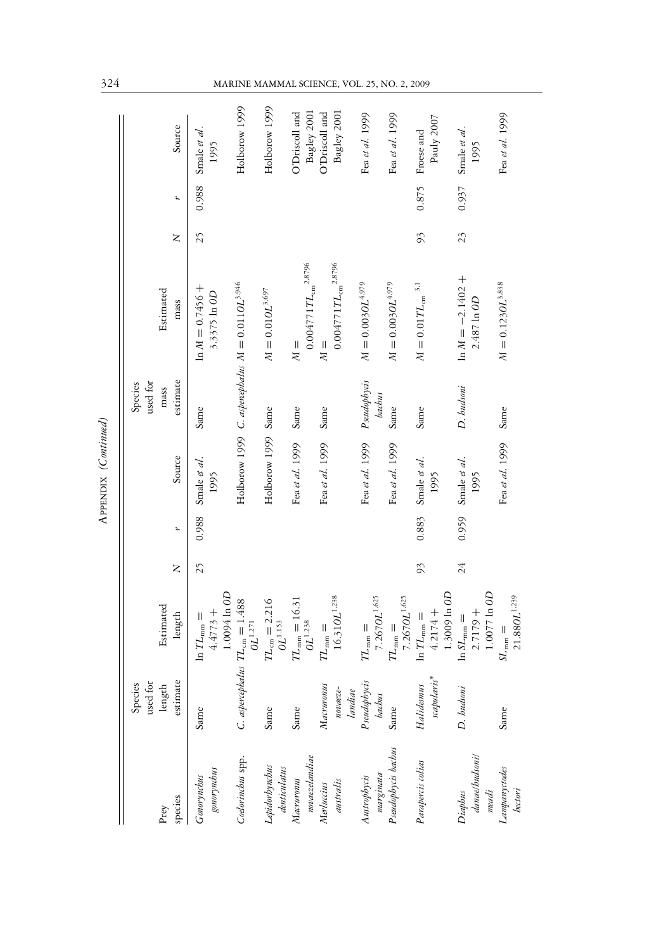|                                    | used for<br>Species                   |                                                                       |              |       |                      | used for<br>Species    |                                                      |              |       |                                |
|------------------------------------|---------------------------------------|-----------------------------------------------------------------------|--------------|-------|----------------------|------------------------|------------------------------------------------------|--------------|-------|--------------------------------|
| Prey                               | $_{\rm length}$                       | Estimated                                                             |              |       |                      | mass                   | Estimated                                            |              |       |                                |
| species                            | estimate                              | length                                                                | $\mathsf{z}$ | ŕ     | Source               | estimate               | mass                                                 | $\mathsf{z}$ | r     | Source                         |
| gonorynchus<br>Gonorynchus         | Same                                  | $4.4773 +$<br>$\ln T L_{\rm mm} =$                                    | 25           | 0.988 | Smale et al.<br>1995 | Same                   | $\ln M = 0.7456 +$<br>3.3375 In OD                   | 25           | 0.988 | Smale et al.<br>1995           |
| Coelorinchus spp.                  |                                       | $1.0094 \ln OD$<br>C. aspercephalus $TL_{cm} = 1.488$<br>$0L^{1.271}$ |              |       |                      |                        | Holborow 1999 C. aspercephalus $M = 0.0110L^{3.946}$ |              |       | Holborow 1999                  |
| Lepidorbynchus<br>denticulatus     | Same                                  | $TL_{cm} = 2.216$<br>$0L^{1.15\bar{5}}$                               |              |       | Holborow 1999 Same   |                        | $M = 0.010L^{3.697}$                                 |              |       | Holborow 1999                  |
| novaezelandiae<br>Macruronus       | Same                                  | $TL_{\text{mm}} = 16.31$<br>$0L^{1.238}$                              |              |       | Fea et al. 1999      | Same                   | $0.004771TLcm$ 2.8796<br>$M =$                       |              |       | Bagley 2001<br>O'Driscoll and  |
| australis<br>Merluccius            | Macruronus<br>$now a eze-$<br>landiae | $16.310L^{1.238}$<br>$TL_{\rm mm} =$                                  |              |       | Fea et al. 1999      | Same                   | $0.004771 T L_{\rm cm}^{-2.8796}$<br>$M =$           |              |       | O'Driscoll and<br>Bagley 2001  |
| marginata<br>Austrophycis          | Pseudophycis<br>bachus                | 7.2670L1.625<br>$TL_{\rm mm} =$                                       |              |       | Fea et al. 1999      | Pseudophycis<br>bachus | $M = 0.0030L^{4.979}$                                |              |       | Fea et al. 1999                |
| Pseudophycis bachus                | Same                                  | $7.2670L^{1.625}$<br>$TL_{\text{mm}} =$                               |              |       | Fea et al. 1999      | Same                   | $M = 0.0030L^{4.979}$                                |              |       | Fea et al. 1999                |
| Parapercis colias                  | scapularis*<br>Halidesmus             | $1.3009 \ln OD$<br>$4.2174 +$<br>$\ln T L_{\rm mm} =$                 | 93           | 0.883 | Smale et al.<br>1995 | Same                   | $M=0.01TL_{\rm cm}^{-3.1}$                           | 93           |       | Pauly 2007<br>0.875 Froese and |
| danae/hudsoni/<br>meadi<br>Diaphus | D. budsoni                            | $1.0077 \ln OD$<br>$2.7179 +$<br>$\ln SL_{\rm mm} =$                  | 24           | 0.959 | Smale et al.<br>1995 | D. budsoni             | $\ln M = -2.1402 +$<br>$2.487 \ln OD$                | 23           | 0.937 | Smale et al.<br>1995           |
| Lampanyctodes<br><i>bectori</i>    | Same                                  | $21.880L^{1.239}$<br>$SL_{\rm mm}=$                                   |              |       | Fea et al. 1999 Same |                        | $M = 0.1230L^{3.838}$                                |              |       | Fea et al. 1999                |

APPENDIX *(Continued)*

APPENDIX (Continued)

# 324 MARINE MAMMAL SCIENCE, VOL. 25, NO. 2, 2009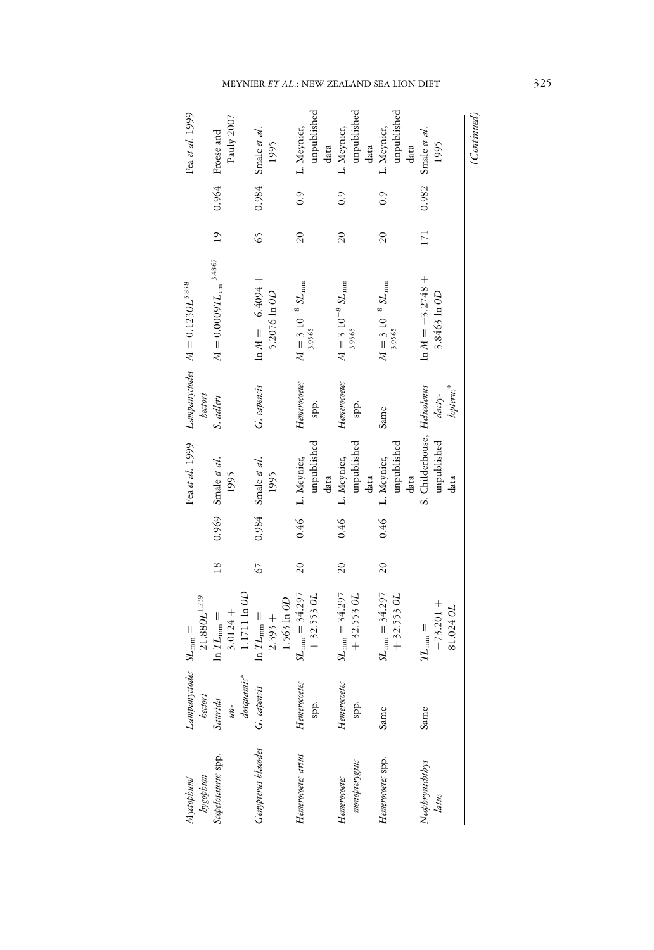| (Continued)     |       |                 |                                                     |                |                              |      |                |                        |                               |                        |
|-----------------|-------|-----------------|-----------------------------------------------------|----------------|------------------------------|------|----------------|------------------------|-------------------------------|------------------------|
|                 |       |                 |                                                     | lopterus*      | data                         |      |                | 81.024 OL              |                               |                        |
| 1995            |       |                 | 3.8463 In OD                                        | dacty-         | unpublished                  |      |                | $-73.201 +$            |                               | latus                  |
| Smale et al.    | 0.982 | 171             | $\ln M = -3.2748 +$                                 |                | S. Childerhouse, Helicolenus |      |                | $TL_{\text{mm}} =$     | Same                          | Neophrynichthys        |
| data            |       |                 |                                                     |                | data                         |      |                |                        |                               |                        |
| unpublished     |       |                 | 3.9565                                              |                | unpublished                  |      |                | $+32.5530L$            |                               |                        |
| L. Meynier,     | 0.9   | $\overline{20}$ | $M=3\ 10^{-8}\ \mathrm{SL}_{\mathrm{mm}}$           | Same           | L. Meynier,                  | 0.46 | $\overline{c}$ | $SL_{\rm mm} = 34.297$ | Same                          | Hemerocœtes spp.       |
| data            |       |                 |                                                     |                | data                         |      |                |                        |                               |                        |
| unpublished     |       |                 | 3.9565                                              | spp.           | unpublished                  |      |                | $+32.553$ OL           | spp.                          | monopterygins          |
| L. Meynier,     | 0.9   | 20              | $M=3\;10^{-8}\;{\rm SL}_{\rm mm}$                   | Hemerocetes    | L. Meynier,                  | 0.46 | 20             | $SL_{\rm mm} = 34.297$ | Hemerocoetes                  | Hemerocoetes           |
| data            |       |                 |                                                     |                | data                         |      |                |                        |                               |                        |
| unpublished     |       |                 | 3.9565                                              | spp.           | unpublished                  |      |                | $+32.553$ OL           | spp.                          |                        |
| L. Meynier,     | 0.9   | 20              | $M=3\;10^{-8}\;{\rm SL}_{\rm mm}$                   | Hemerocetes    | L. Meynier,                  | 0.46 | 20             | $SL_{\rm mm} = 34.297$ | Hemerocoetes                  | Hemerocoetes artus     |
|                 |       |                 |                                                     |                |                              |      |                | $1.563 \ln OD$         |                               |                        |
| 1995            |       |                 | 5.2076 In OD                                        |                | 1995                         |      |                | $2.393 +$              |                               |                        |
| Smale et al.    | 0.984 | 65              | $\ln M = -6.4094 +$                                 | G. capensis    | $0.984$ Smale et al.         |      | 67             | $\ln TL_{\rm mm} =$    | G. capensis                   | Genytterus blacodes    |
|                 |       |                 |                                                     |                |                              |      |                | $1.1711 \ln OD$        | dosquamis*                    |                        |
| Pauly 2007      |       |                 |                                                     |                | 1995                         |      |                | $3.0124 +$             | $\mu$ n-                      |                        |
| Froese and      | 0.964 | $\tilde{5}$     | $M=0.0009T L_{\rm cm}^{-3.4867}$                    | S. adleri      | $0.969$ Smale et al.         |      | $\frac{8}{2}$  | $\ln TL_{\text{mm}} =$ | Saurida                       | Scopelosaurus spp.     |
|                 |       |                 |                                                     | <b>bectori</b> |                              |      |                | $21.880L^{1.239}$      | <b>bectori</b>                |                        |
| Fea et al. 1999 |       |                 | Fea et al. 1999 Lampanyctodes $M = 0.1230L^{3.838}$ |                |                              |      |                |                        | $\mu$ mpanyctodes $SL_{mm} =$ | Мусtорbum/<br>bygopbum |